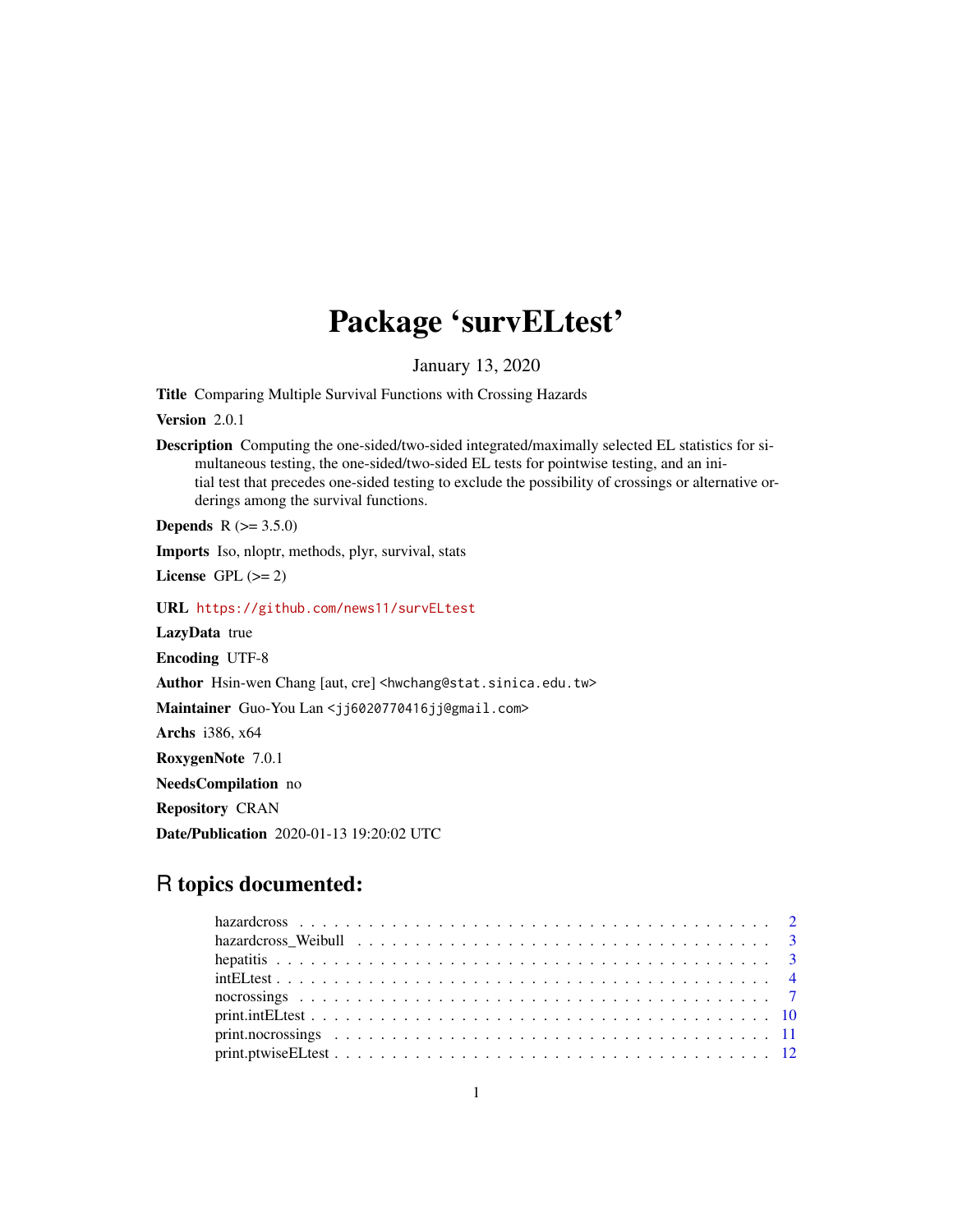# Package 'survELtest'

January 13, 2020

Title Comparing Multiple Survival Functions with Crossing Hazards

Version 2.0.1

Description Computing the one-sided/two-sided integrated/maximally selected EL statistics for simultaneous testing, the one-sided/two-sided EL tests for pointwise testing, and an initial test that precedes one-sided testing to exclude the possibility of crossings or alternative orderings among the survival functions.

**Depends** R  $(>= 3.5.0)$ 

Imports Iso, nloptr, methods, plyr, survival, stats

License GPL  $(>= 2)$ 

URL <https://github.com/news11/survELtest>

LazyData true

Encoding UTF-8

Author Hsin-wen Chang [aut, cre] <hwchang@stat.sinica.edu.tw>

Maintainer Guo-You Lan <jj6020770416jj@gmail.com>

Archs i386, x64

RoxygenNote 7.0.1

NeedsCompilation no

Repository CRAN

Date/Publication 2020-01-13 19:20:02 UTC

# R topics documented: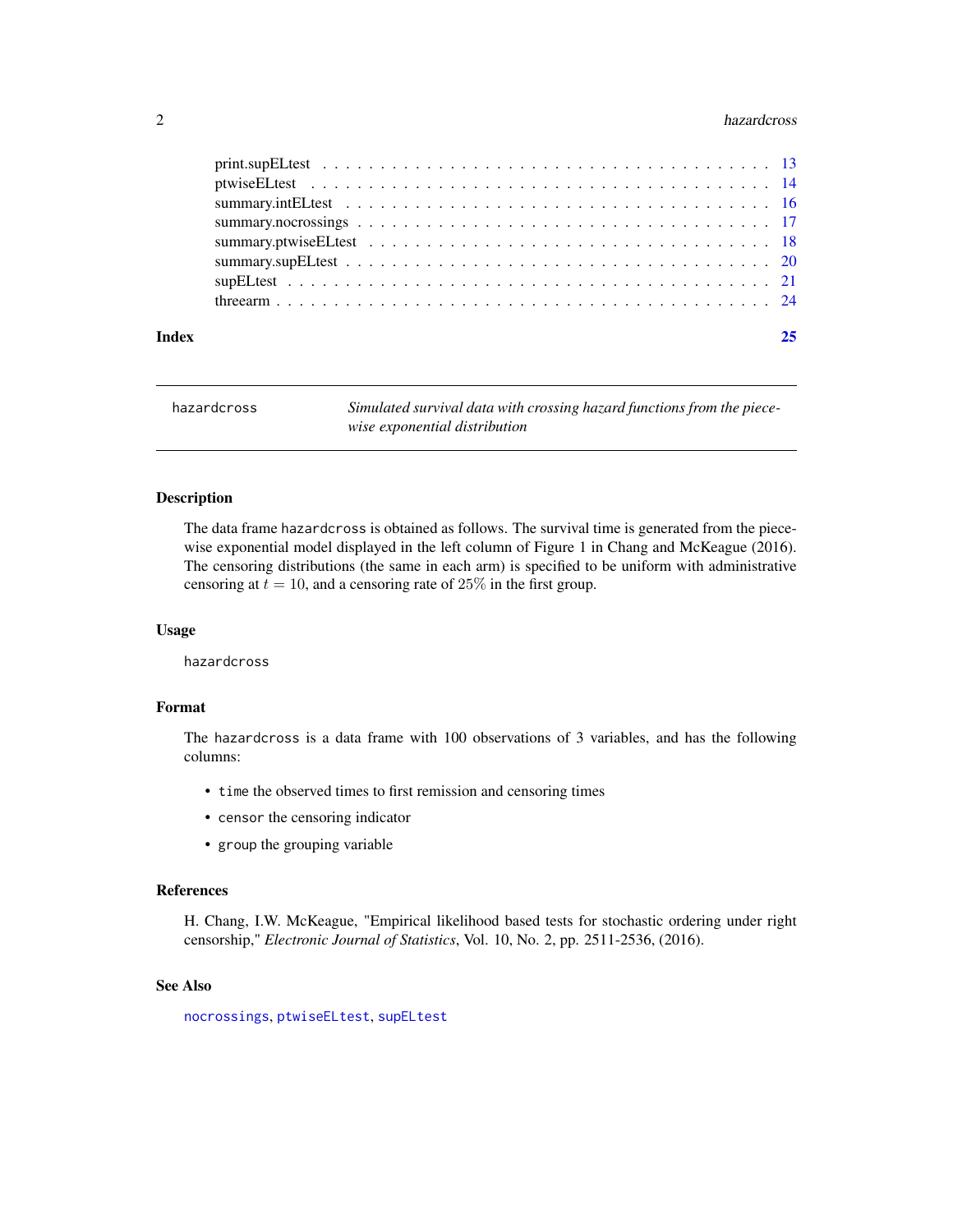#### <span id="page-1-0"></span>2 hazardcross and the contract of the contract of the contract of the contract of the contract of the contract of the contract of the contract of the contract of the contract of the contract of the contract of the contract

| Index | 25 |
|-------|----|
|       |    |
|       |    |
|       |    |
|       |    |
|       |    |
|       |    |
|       |    |
|       |    |

| hazardcross | Simulated survival data with crossing hazard functions from the piece- |
|-------------|------------------------------------------------------------------------|
|             | wise exponential distribution                                          |

# Description

The data frame hazardcross is obtained as follows. The survival time is generated from the piecewise exponential model displayed in the left column of Figure 1 in Chang and McKeague (2016). The censoring distributions (the same in each arm) is specified to be uniform with administrative censoring at  $t = 10$ , and a censoring rate of 25% in the first group.

#### Usage

hazardcross

# Format

The hazardcross is a data frame with 100 observations of 3 variables, and has the following columns:

- time the observed times to first remission and censoring times
- censor the censoring indicator
- group the grouping variable

#### References

H. Chang, I.W. McKeague, "Empirical likelihood based tests for stochastic ordering under right censorship," *Electronic Journal of Statistics*, Vol. 10, No. 2, pp. 2511-2536, (2016).

#### See Also

[nocrossings](#page-6-1), [ptwiseELtest](#page-13-1), [supELtest](#page-20-1)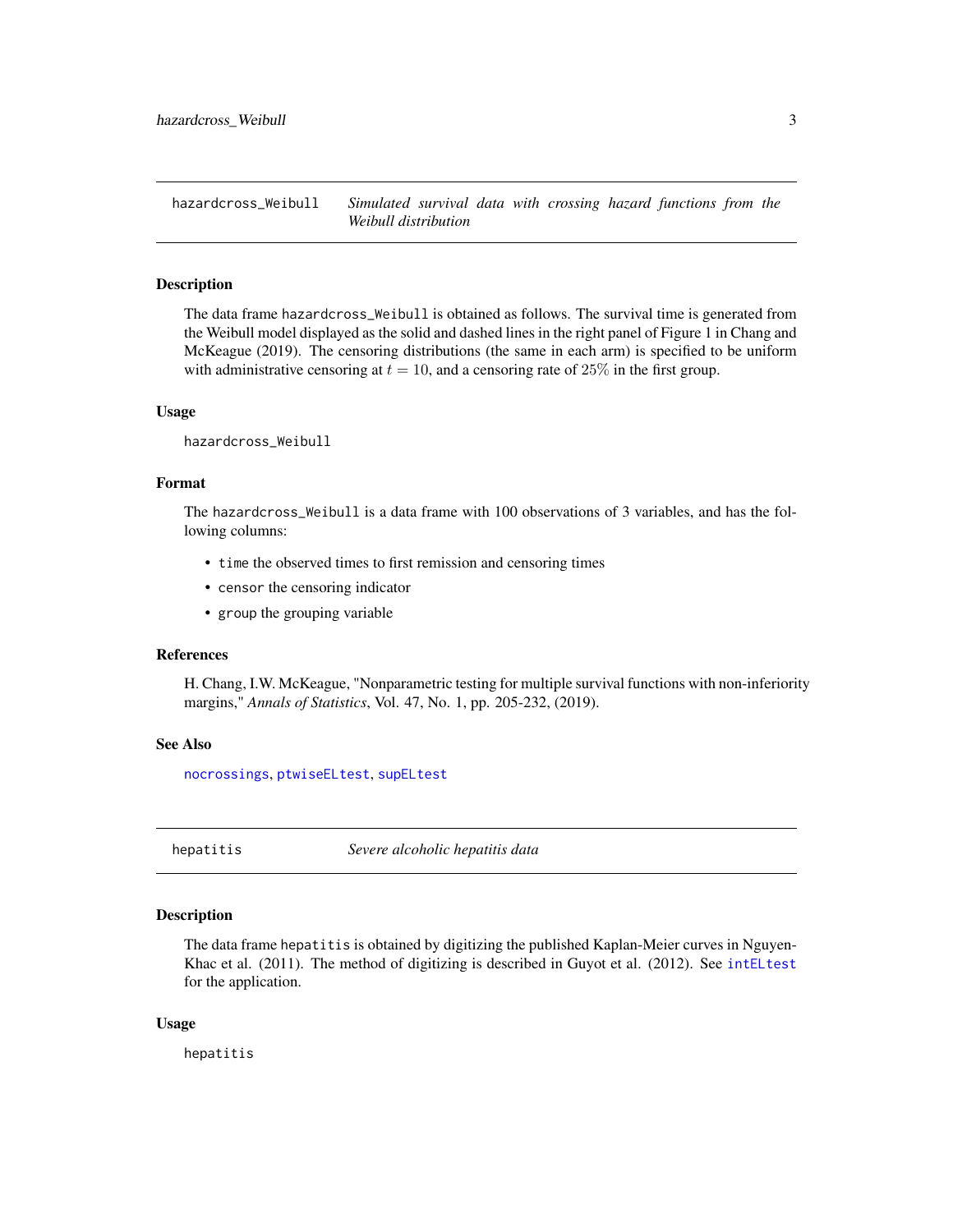<span id="page-2-0"></span>hazardcross\_Weibull *Simulated survival data with crossing hazard functions from the Weibull distribution*

#### **Description**

The data frame hazardcross\_Weibull is obtained as follows. The survival time is generated from the Weibull model displayed as the solid and dashed lines in the right panel of Figure 1 in Chang and McKeague (2019). The censoring distributions (the same in each arm) is specified to be uniform with administrative censoring at  $t = 10$ , and a censoring rate of 25% in the first group.

#### Usage

hazardcross\_Weibull

#### Format

The hazardcross\_Weibull is a data frame with 100 observations of 3 variables, and has the following columns:

- time the observed times to first remission and censoring times
- censor the censoring indicator
- group the grouping variable

### **References**

H. Chang, I.W. McKeague, "Nonparametric testing for multiple survival functions with non-inferiority margins," *Annals of Statistics*, Vol. 47, No. 1, pp. 205-232, (2019).

#### See Also

[nocrossings](#page-6-1), [ptwiseELtest](#page-13-1), [supELtest](#page-20-1)

<span id="page-2-1"></span>hepatitis *Severe alcoholic hepatitis data*

#### Description

The data frame hepatitis is obtained by digitizing the published Kaplan-Meier curves in Nguyen-Khac et al. (2011). The method of digitizing is described in Guyot et al. (2012). See [intELtest](#page-3-1) for the application.

#### Usage

hepatitis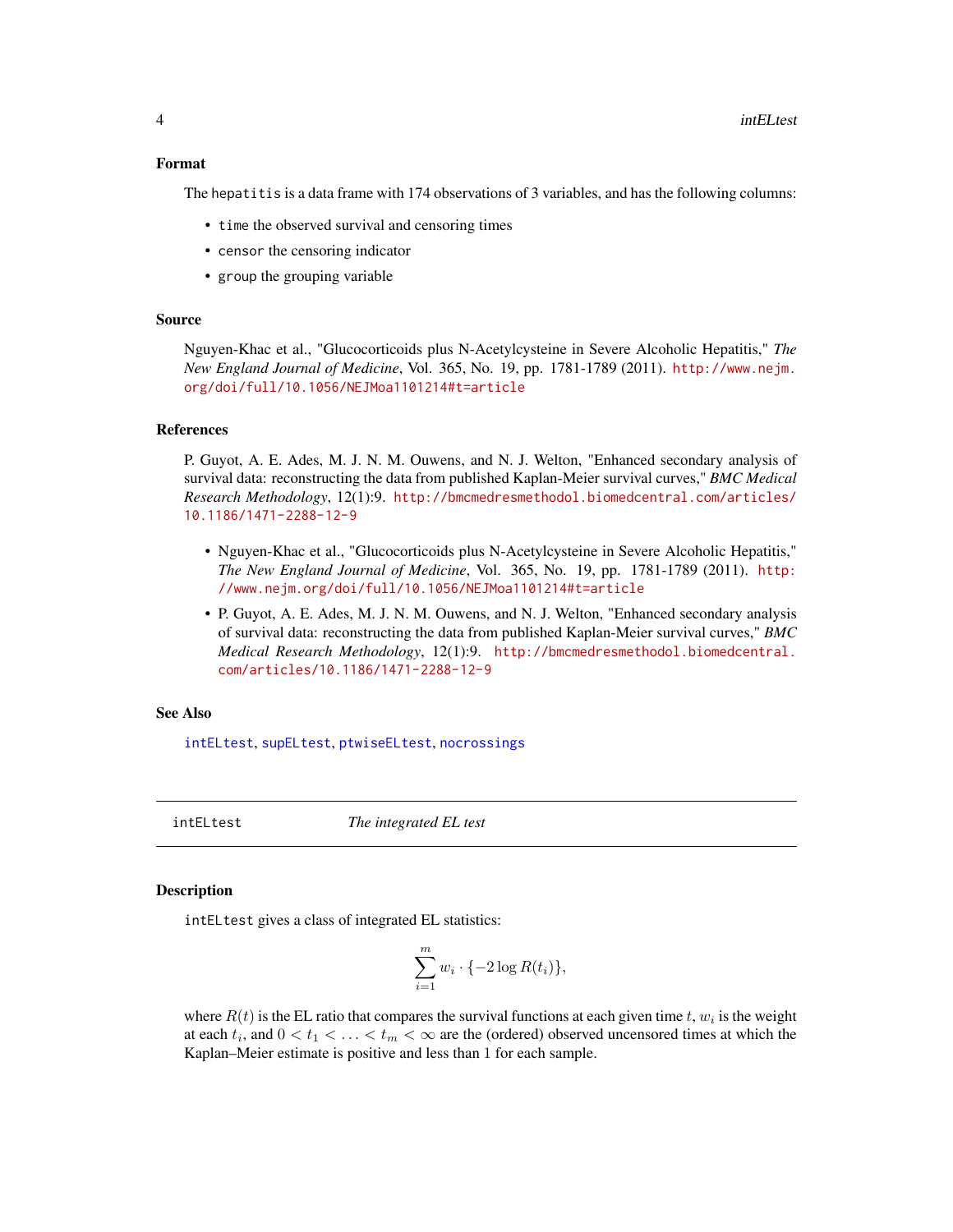#### <span id="page-3-0"></span>Format

The hepatitis is a data frame with 174 observations of 3 variables, and has the following columns:

- time the observed survival and censoring times
- censor the censoring indicator
- group the grouping variable

#### Source

Nguyen-Khac et al., "Glucocorticoids plus N-Acetylcysteine in Severe Alcoholic Hepatitis," *The New England Journal of Medicine*, Vol. 365, No. 19, pp. 1781-1789 (2011). [http://www.nejm.](http://www.nejm.org/doi/full/10.1056/NEJMoa1101214#t=article) [org/doi/full/10.1056/NEJMoa1101214#t=article](http://www.nejm.org/doi/full/10.1056/NEJMoa1101214#t=article)

#### References

P. Guyot, A. E. Ades, M. J. N. M. Ouwens, and N. J. Welton, "Enhanced secondary analysis of survival data: reconstructing the data from published Kaplan-Meier survival curves," *BMC Medical Research Methodology*, 12(1):9. [http://bmcmedresmethodol.biomedcentral.com/articles/](http://bmcmedresmethodol.biomedcentral.com/articles/10.1186/1471-2288-12-9) [10.1186/1471-2288-12-9](http://bmcmedresmethodol.biomedcentral.com/articles/10.1186/1471-2288-12-9)

- Nguyen-Khac et al., "Glucocorticoids plus N-Acetylcysteine in Severe Alcoholic Hepatitis," *The New England Journal of Medicine*, Vol. 365, No. 19, pp. 1781-1789 (2011). [http:](http://www.nejm.org/doi/full/10.1056/NEJMoa1101214#t=article) [//www.nejm.org/doi/full/10.1056/NEJMoa1101214#t=article](http://www.nejm.org/doi/full/10.1056/NEJMoa1101214#t=article)
- P. Guyot, A. E. Ades, M. J. N. M. Ouwens, and N. J. Welton, "Enhanced secondary analysis of survival data: reconstructing the data from published Kaplan-Meier survival curves," *BMC Medical Research Methodology*, 12(1):9. [http://bmcmedresmethodol.biomedcentral.](http://bmcmedresmethodol.biomedcentral.com/articles/10.1186/1471-2288-12-9) [com/articles/10.1186/1471-2288-12-9](http://bmcmedresmethodol.biomedcentral.com/articles/10.1186/1471-2288-12-9)

#### See Also

[intELtest](#page-3-1), [supELtest](#page-20-1), [ptwiseELtest](#page-13-1), [nocrossings](#page-6-1)

<span id="page-3-1"></span>intELtest *The integrated EL test*

#### Description

intELtest gives a class of integrated EL statistics:

$$
\sum_{i=1}^{m} w_i \cdot \{-2\log R(t_i)\},\
$$

where  $R(t)$  is the EL ratio that compares the survival functions at each given time t,  $w_i$  is the weight at each  $t_i$ , and  $0 < t_1 < \ldots < t_m < \infty$  are the (ordered) observed uncensored times at which the Kaplan–Meier estimate is positive and less than 1 for each sample.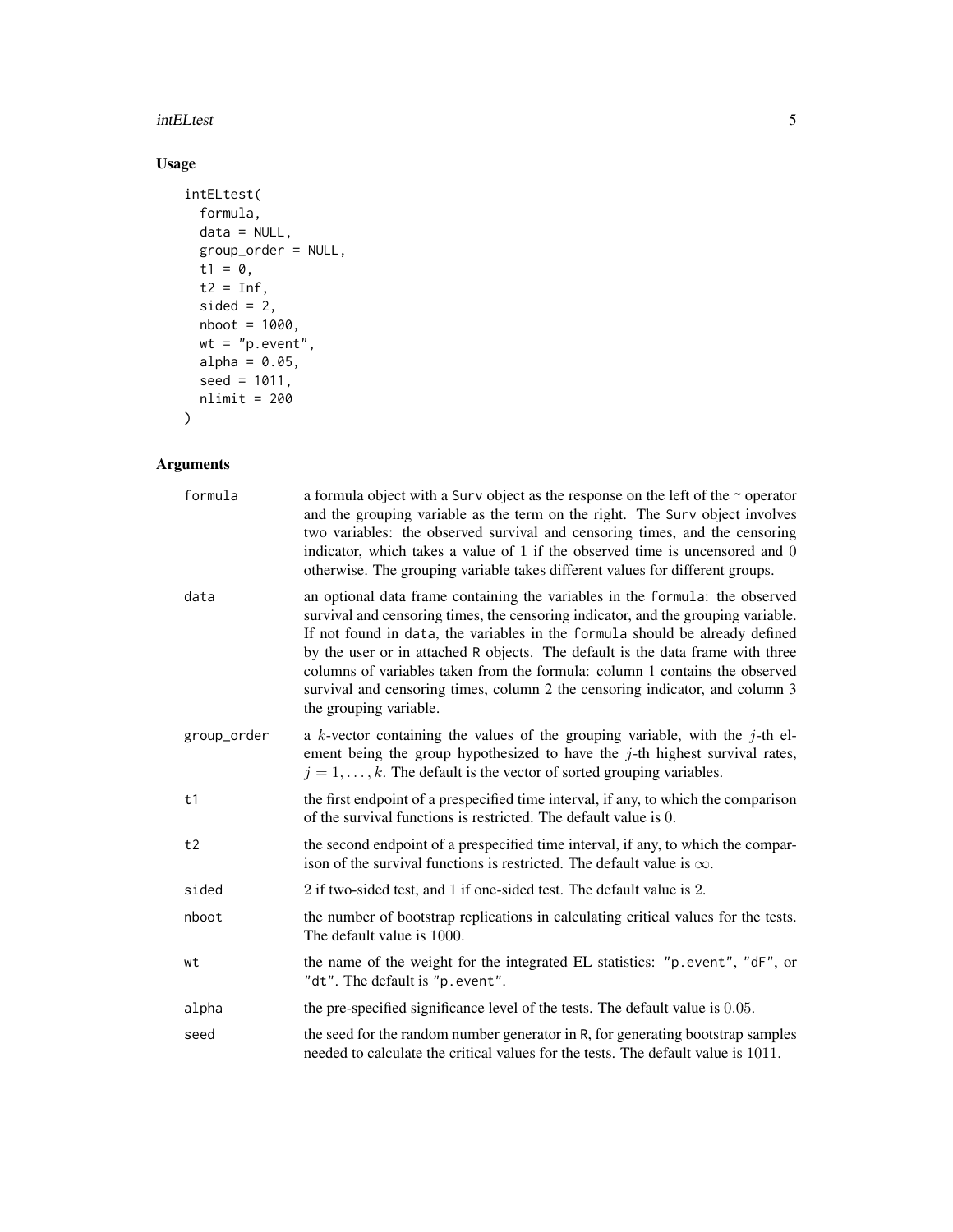#### intELtest 5

# Usage

```
intELtest(
  formula,
  data = NULL,
  group_order = NULL,
  t1 = 0,t2 = \overrightarrow{Inf},
  sided = 2,
  nboot = 1000,wt = "p.event",
   alpha = 0.05,
  seed = 1011,
  nlimit = 200
\mathcal{L}
```

| formula     | a formula object with a Surv object as the response on the left of the $\sim$ operator<br>and the grouping variable as the term on the right. The Surv object involves<br>two variables: the observed survival and censoring times, and the censoring<br>indicator, which takes a value of 1 if the observed time is uncensored and 0<br>otherwise. The grouping variable takes different values for different groups.                                                                                                       |
|-------------|------------------------------------------------------------------------------------------------------------------------------------------------------------------------------------------------------------------------------------------------------------------------------------------------------------------------------------------------------------------------------------------------------------------------------------------------------------------------------------------------------------------------------|
| data        | an optional data frame containing the variables in the formula: the observed<br>survival and censoring times, the censoring indicator, and the grouping variable.<br>If not found in data, the variables in the formula should be already defined<br>by the user or in attached R objects. The default is the data frame with three<br>columns of variables taken from the formula: column 1 contains the observed<br>survival and censoring times, column 2 the censoring indicator, and column 3<br>the grouping variable. |
| group_order | a k-vector containing the values of the grouping variable, with the $j$ -th el-<br>ement being the group hypothesized to have the $j$ -th highest survival rates,<br>$j = 1, \ldots, k$ . The default is the vector of sorted grouping variables.                                                                                                                                                                                                                                                                            |
| t1          | the first endpoint of a prespecified time interval, if any, to which the comparison<br>of the survival functions is restricted. The default value is 0.                                                                                                                                                                                                                                                                                                                                                                      |
| t2          | the second endpoint of a prespecified time interval, if any, to which the compar-<br>ison of the survival functions is restricted. The default value is $\infty$ .                                                                                                                                                                                                                                                                                                                                                           |
| sided       | 2 if two-sided test, and 1 if one-sided test. The default value is 2.                                                                                                                                                                                                                                                                                                                                                                                                                                                        |
| nboot       | the number of bootstrap replications in calculating critical values for the tests.<br>The default value is 1000.                                                                                                                                                                                                                                                                                                                                                                                                             |
| wt          | the name of the weight for the integrated EL statistics: "p.event", "dF", or<br>"dt". The default is "p.event".                                                                                                                                                                                                                                                                                                                                                                                                              |
| alpha       | the pre-specified significance level of the tests. The default value is 0.05.                                                                                                                                                                                                                                                                                                                                                                                                                                                |
| seed        | the seed for the random number generator in R, for generating bootstrap samples<br>needed to calculate the critical values for the tests. The default value is 1011.                                                                                                                                                                                                                                                                                                                                                         |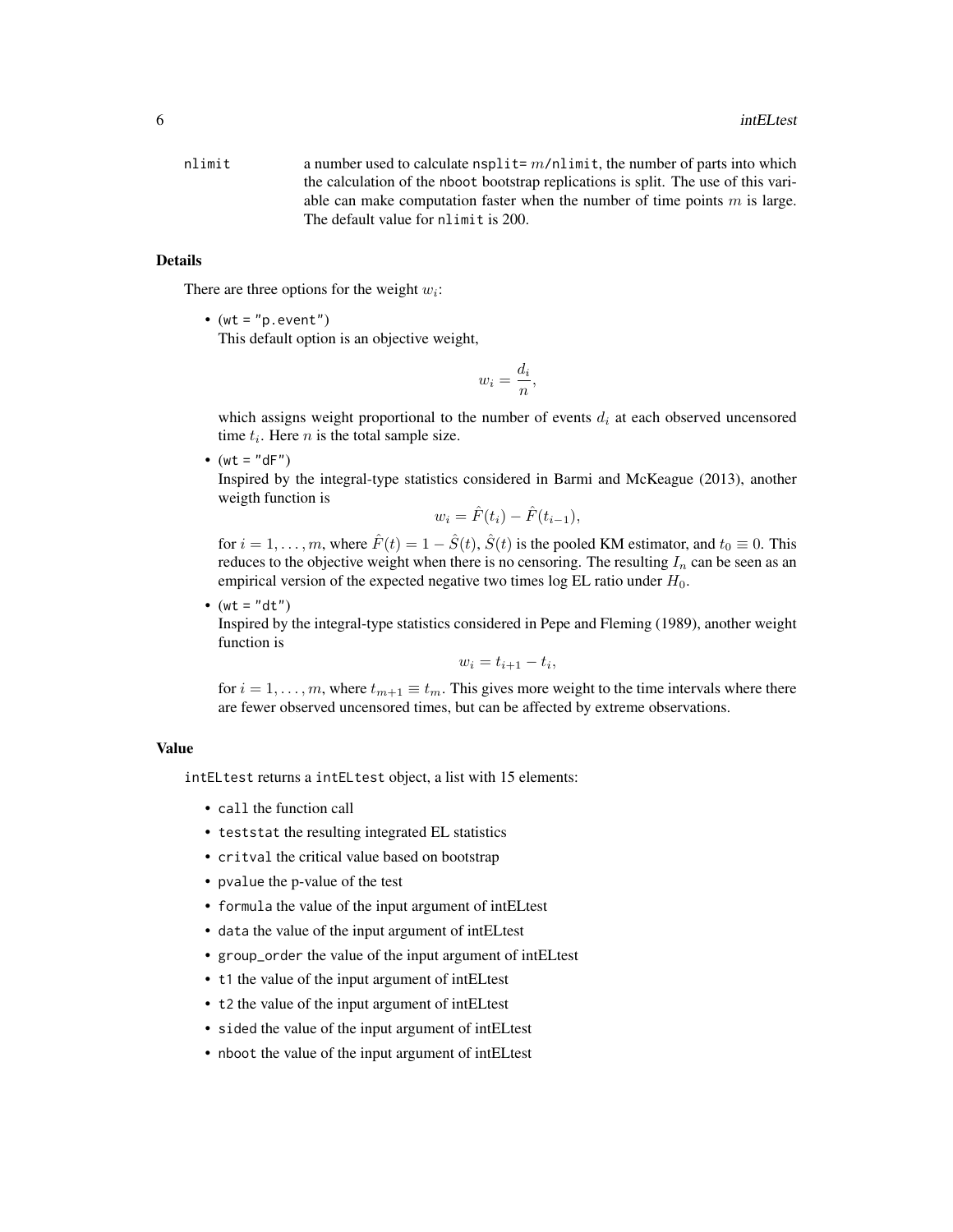nlimit a number used to calculate nsplit=  $m/n$ limit, the number of parts into which the calculation of the nboot bootstrap replications is split. The use of this variable can make computation faster when the number of time points  $m$  is large. The default value for nlimit is 200.

# Details

There are three options for the weight  $w_i$ :

• (wt =  $"p.event"$ ) This default option is an objective weight,

$$
w_i = \frac{d_i}{n},
$$

which assigns weight proportional to the number of events  $d_i$  at each observed uncensored time  $t_i$ . Here *n* is the total sample size.

•  $(wt = "dF")$ 

Inspired by the integral-type statistics considered in Barmi and McKeague (2013), another weigth function is

$$
w_i = \hat{F}(t_i) - \hat{F}(t_{i-1}),
$$

for  $i = 1, \ldots, m$ , where  $\hat{F}(t) = 1 - \hat{S}(t)$ ,  $\hat{S}(t)$  is the pooled KM estimator, and  $t_0 \equiv 0$ . This reduces to the objective weight when there is no censoring. The resulting  $I_n$  can be seen as an empirical version of the expected negative two times log EL ratio under  $H_0$ .

•  $(wt = "dt")$ 

Inspired by the integral-type statistics considered in Pepe and Fleming (1989), another weight function is

$$
w_i = t_{i+1} - t_i,
$$

for  $i = 1, \ldots, m$ , where  $t_{m+1} \equiv t_m$ . This gives more weight to the time intervals where there are fewer observed uncensored times, but can be affected by extreme observations.

#### Value

intELtest returns a intELtest object, a list with 15 elements:

- call the function call
- teststat the resulting integrated EL statistics
- critval the critical value based on bootstrap
- pvalue the p-value of the test
- formula the value of the input argument of intELtest
- data the value of the input argument of intELtest
- group\_order the value of the input argument of intELtest
- t1 the value of the input argument of intELtest
- t2 the value of the input argument of intELtest
- sided the value of the input argument of intELtest
- nboot the value of the input argument of intELtest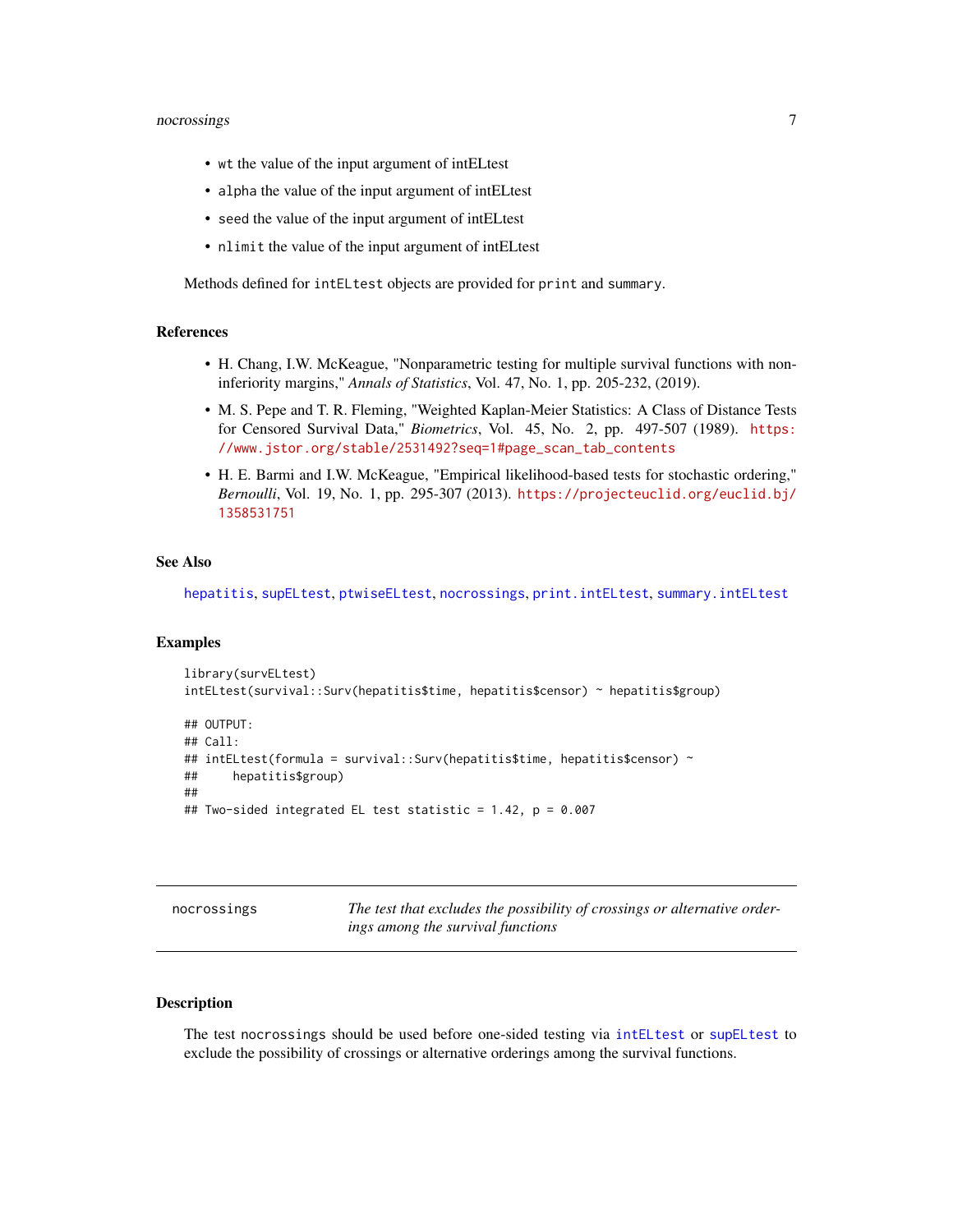# <span id="page-6-0"></span>nocrossings 7

- wt the value of the input argument of intELtest
- alpha the value of the input argument of intELtest
- seed the value of the input argument of intELtest
- nlimit the value of the input argument of intELtest

Methods defined for intELtest objects are provided for print and summary.

#### References

- H. Chang, I.W. McKeague, "Nonparametric testing for multiple survival functions with noninferiority margins," *Annals of Statistics*, Vol. 47, No. 1, pp. 205-232, (2019).
- M. S. Pepe and T. R. Fleming, "Weighted Kaplan-Meier Statistics: A Class of Distance Tests for Censored Survival Data," *Biometrics*, Vol. 45, No. 2, pp. 497-507 (1989). [https:](https://www.jstor.org/stable/2531492?seq=1#page_scan_tab_contents) [//www.jstor.org/stable/2531492?seq=1#page\\_scan\\_tab\\_contents](https://www.jstor.org/stable/2531492?seq=1#page_scan_tab_contents)
- H. E. Barmi and I.W. McKeague, "Empirical likelihood-based tests for stochastic ordering," *Bernoulli*, Vol. 19, No. 1, pp. 295-307 (2013). [https://projecteuclid.org/euclid.bj/](https://projecteuclid.org/euclid.bj/1358531751) [1358531751](https://projecteuclid.org/euclid.bj/1358531751)

#### See Also

[hepatitis](#page-2-1), [supELtest](#page-20-1), [ptwiseELtest](#page-13-1), [nocrossings](#page-6-1), [print.intELtest](#page-9-1), [summary.intELtest](#page-15-1)

#### Examples

```
library(survELtest)
intELtest(survival::Surv(hepatitis$time, hepatitis$censor) ~ hepatitis$group)
## OUTPUT:
## Call:
## intELtest(formula = survival::Surv(hepatitis$time, hepatitis$censor) ~
## hepatitis$group)
##
## Two-sided integrated EL test statistic = 1.42, p = 0.007
```
<span id="page-6-1"></span>nocrossings *The test that excludes the possibility of crossings or alternative orderings among the survival functions*

# **Description**

The test nocrossings should be used before one-sided testing via [intELtest](#page-3-1) or [supELtest](#page-20-1) to exclude the possibility of crossings or alternative orderings among the survival functions.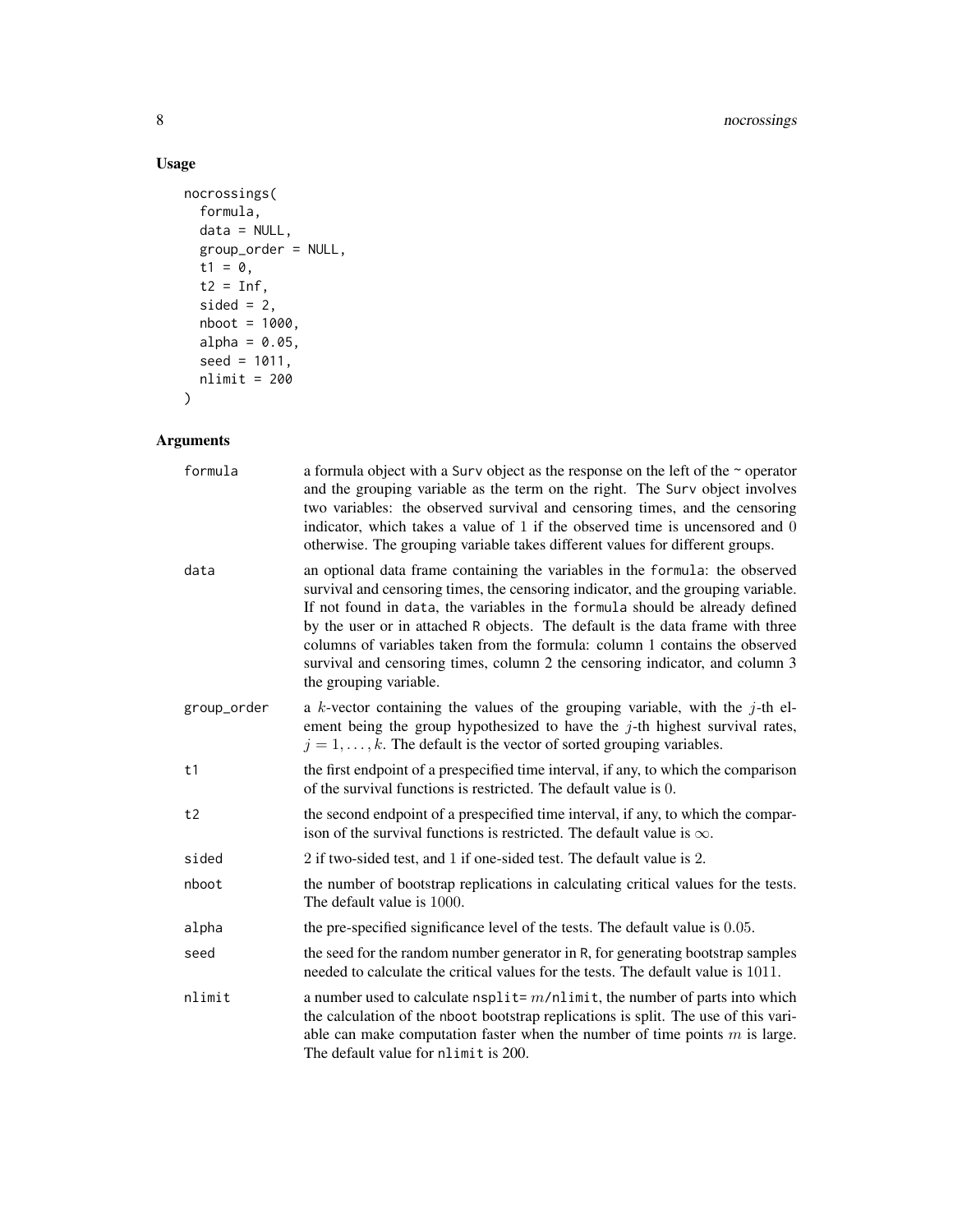8 nocrossings

# Usage

```
nocrossings(
  formula,
  data = NULL,
  group_order = NULL,
  t1 = 0,t2 = Inf,sided = 2,
  nboot = 1000,alpha = 0.05,
  seed = 1011,
  nlimit = 200
\mathcal{L}
```

| formula     | a formula object with a Surv object as the response on the left of the $\sim$ operator<br>and the grouping variable as the term on the right. The Surv object involves<br>two variables: the observed survival and censoring times, and the censoring<br>indicator, which takes a value of 1 if the observed time is uncensored and 0<br>otherwise. The grouping variable takes different values for different groups.                                                                                                       |
|-------------|------------------------------------------------------------------------------------------------------------------------------------------------------------------------------------------------------------------------------------------------------------------------------------------------------------------------------------------------------------------------------------------------------------------------------------------------------------------------------------------------------------------------------|
| data        | an optional data frame containing the variables in the formula: the observed<br>survival and censoring times, the censoring indicator, and the grouping variable.<br>If not found in data, the variables in the formula should be already defined<br>by the user or in attached R objects. The default is the data frame with three<br>columns of variables taken from the formula: column 1 contains the observed<br>survival and censoring times, column 2 the censoring indicator, and column 3<br>the grouping variable. |
| group_order | a k-vector containing the values of the grouping variable, with the $j$ -th el-<br>ement being the group hypothesized to have the $j$ -th highest survival rates,<br>$j = 1, \ldots, k$ . The default is the vector of sorted grouping variables.                                                                                                                                                                                                                                                                            |
| t1          | the first endpoint of a prespecified time interval, if any, to which the comparison<br>of the survival functions is restricted. The default value is 0.                                                                                                                                                                                                                                                                                                                                                                      |
| t2          | the second endpoint of a prespecified time interval, if any, to which the compar-<br>ison of the survival functions is restricted. The default value is $\infty$ .                                                                                                                                                                                                                                                                                                                                                           |
| sided       | 2 if two-sided test, and 1 if one-sided test. The default value is 2.                                                                                                                                                                                                                                                                                                                                                                                                                                                        |
| nboot       | the number of bootstrap replications in calculating critical values for the tests.<br>The default value is 1000.                                                                                                                                                                                                                                                                                                                                                                                                             |
| alpha       | the pre-specified significance level of the tests. The default value is 0.05.                                                                                                                                                                                                                                                                                                                                                                                                                                                |
| seed        | the seed for the random number generator in R, for generating bootstrap samples<br>needed to calculate the critical values for the tests. The default value is 1011.                                                                                                                                                                                                                                                                                                                                                         |
| nlimit      | a number used to calculate $n$ split= $m/n$ limit, the number of parts into which<br>the calculation of the nboot bootstrap replications is split. The use of this vari-<br>able can make computation faster when the number of time points $m$ is large.<br>The default value for nlimit is 200.                                                                                                                                                                                                                            |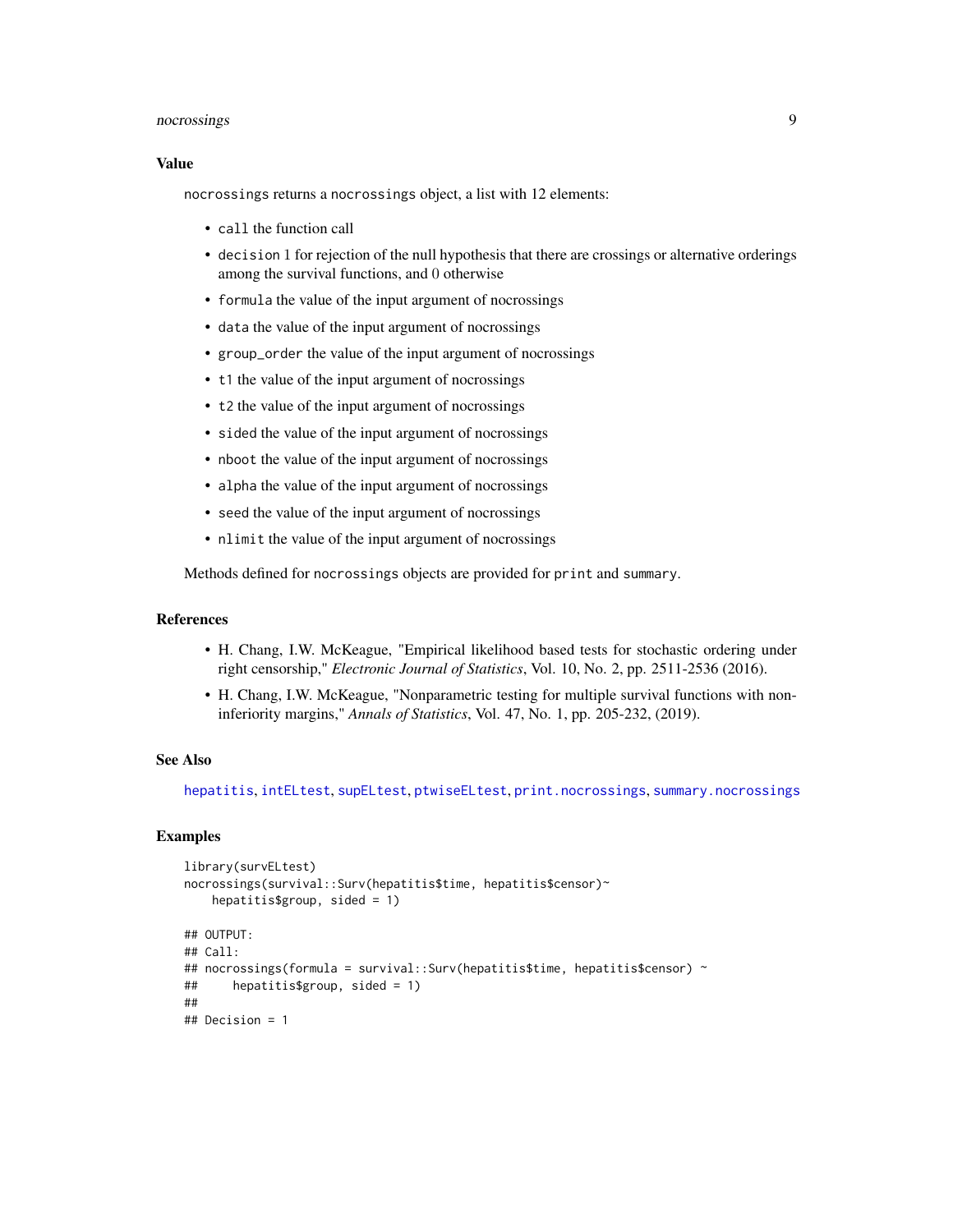# <span id="page-8-0"></span>nocrossings 9

#### Value

nocrossings returns a nocrossings object, a list with 12 elements:

- call the function call
- decision 1 for rejection of the null hypothesis that there are crossings or alternative orderings among the survival functions, and 0 otherwise
- formula the value of the input argument of nocrossings
- data the value of the input argument of nocrossings
- group\_order the value of the input argument of nocrossings
- t1 the value of the input argument of nocrossings
- t2 the value of the input argument of nocrossings
- sided the value of the input argument of nocrossings
- nboot the value of the input argument of nocrossings
- alpha the value of the input argument of nocrossings
- seed the value of the input argument of nocrossings
- nlimit the value of the input argument of nocrossings

Methods defined for nocrossings objects are provided for print and summary.

#### References

- H. Chang, I.W. McKeague, "Empirical likelihood based tests for stochastic ordering under right censorship," *Electronic Journal of Statistics*, Vol. 10, No. 2, pp. 2511-2536 (2016).
- H. Chang, I.W. McKeague, "Nonparametric testing for multiple survival functions with noninferiority margins," *Annals of Statistics*, Vol. 47, No. 1, pp. 205-232, (2019).

# See Also

[hepatitis](#page-2-1), [intELtest](#page-3-1), [supELtest](#page-20-1), [ptwiseELtest](#page-13-1), [print.nocrossings](#page-10-1), [summary.nocrossings](#page-16-1)

```
library(survELtest)
nocrossings(survival::Surv(hepatitis$time, hepatitis$censor)~
   hepatitis$group, sided = 1)
## OUTPUT:
## Call:
## nocrossings(formula = survival::Surv(hepatitis$time, hepatitis$censor) ~
## hepatitis$group, sided = 1)
##
## Decision = 1
```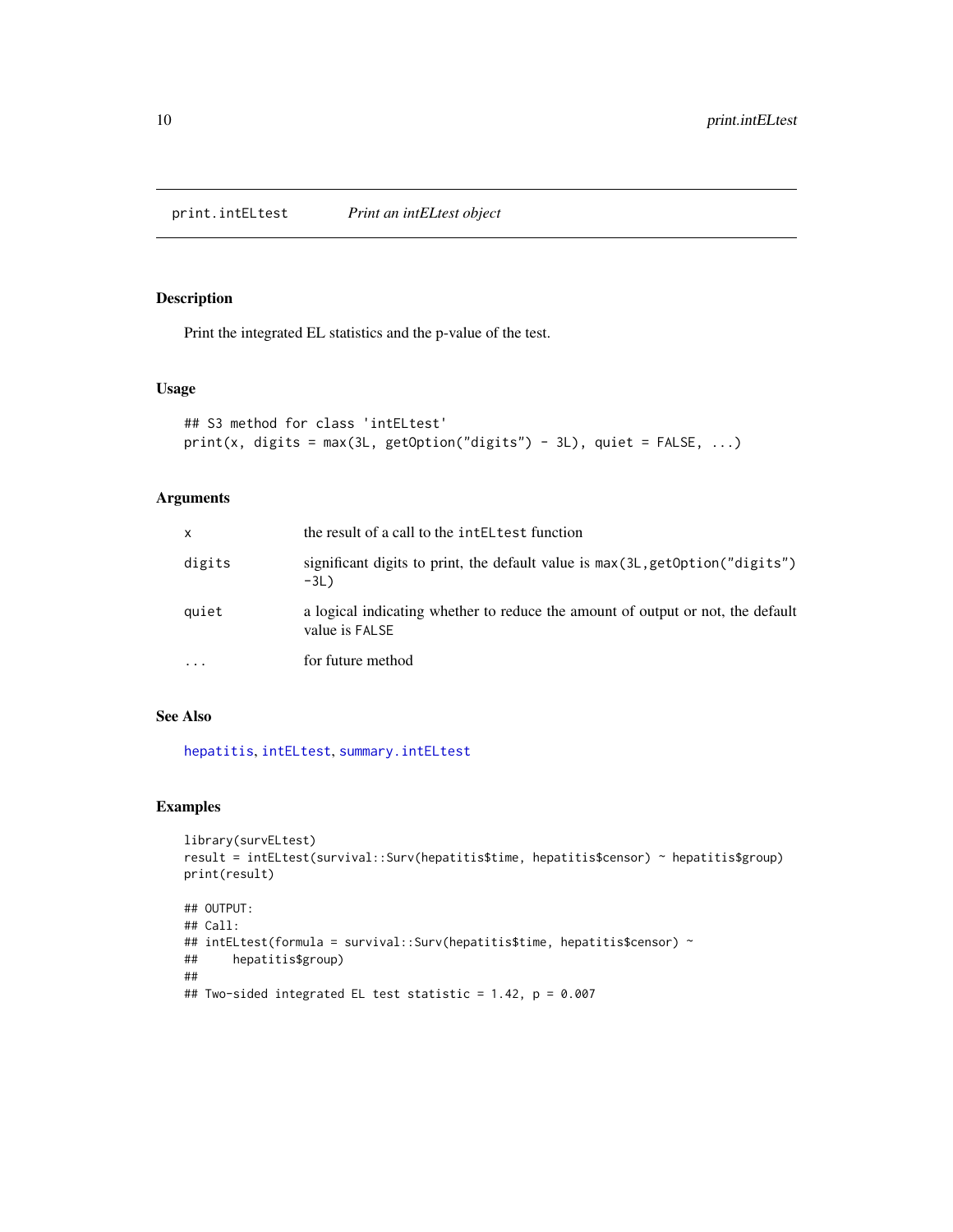<span id="page-9-1"></span><span id="page-9-0"></span>print.intELtest *Print an intELtest object*

# Description

Print the integrated EL statistics and the p-value of the test.

#### Usage

```
## S3 method for class 'intELtest'
print(x, \text{ digits} = max(3L, \text{ getOption("digits") - 3L), quiet = FALSE, ...})
```
# Arguments

| $\mathsf{x}$ | the result of a call to the intell test function                                                  |
|--------------|---------------------------------------------------------------------------------------------------|
| digits       | significant digits to print, the default value is $max(3L, getOption("digits")$<br>$-3L$ )        |
| quiet        | a logical indicating whether to reduce the amount of output or not, the default<br>value is FALSE |
| $\ddotsc$    | for future method                                                                                 |

# See Also

[hepatitis](#page-2-1), [intELtest](#page-3-1), [summary.intELtest](#page-15-1)

# Examples

```
library(survELtest)
result = intELtest(survival::Surv(hepatitis$time, hepatitis$censor) ~ hepatitis$group)
print(result)
## OUTPUT:
## Call:
## intELtest(formula = survival::Surv(hepatitis$time, hepatitis$censor) ~
## hepatitis$group)
```
##

```
## Two-sided integrated EL test statistic = 1.42, p = 0.007
```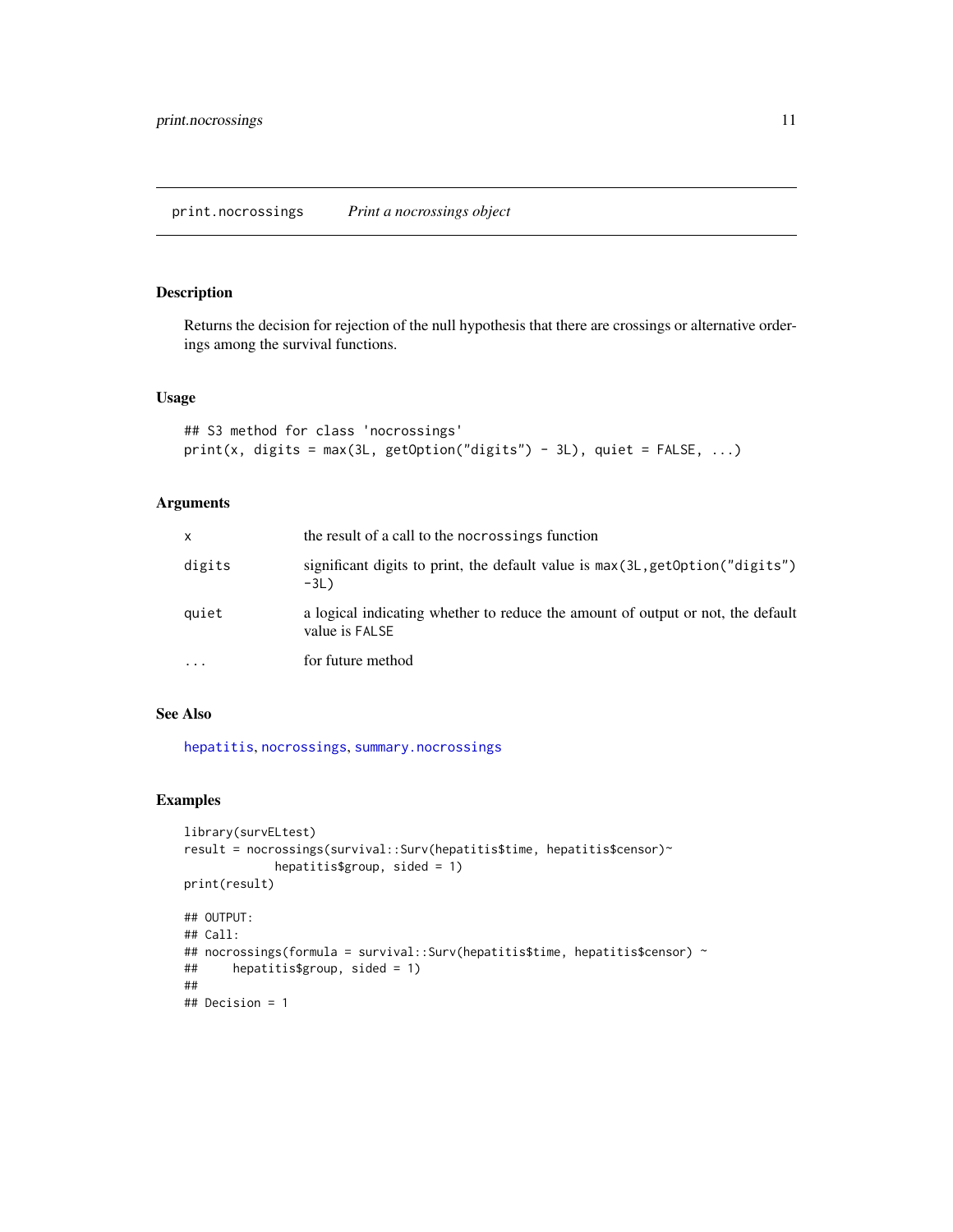#### <span id="page-10-1"></span><span id="page-10-0"></span>Description

Returns the decision for rejection of the null hypothesis that there are crossings or alternative orderings among the survival functions.

#### Usage

```
## S3 method for class 'nocrossings'
print(x, \text{ digits} = max(3L, \text{ getOption("digits") - 3L), quiet = FALSE, ...})
```
# Arguments

| x         | the result of a call to the nocrossings function                                                  |
|-----------|---------------------------------------------------------------------------------------------------|
| digits    | significant digits to print, the default value is $max(3L, getOption("digits")$<br>$-3L$ )        |
| quiet     | a logical indicating whether to reduce the amount of output or not, the default<br>value is FALSE |
| $\ddotsc$ | for future method                                                                                 |

# See Also

[hepatitis](#page-2-1), [nocrossings](#page-6-1), [summary.nocrossings](#page-16-1)

```
library(survELtest)
result = nocrossings(survival::Surv(hepatitis$time, hepatitis$censor)~
            hepatitis$group, sided = 1)
print(result)
## OUTPUT:
## Call:
## nocrossings(formula = survival::Surv(hepatitis$time, hepatitis$censor) ~
## hepatitis$group, sided = 1)
##
## Decision = 1
```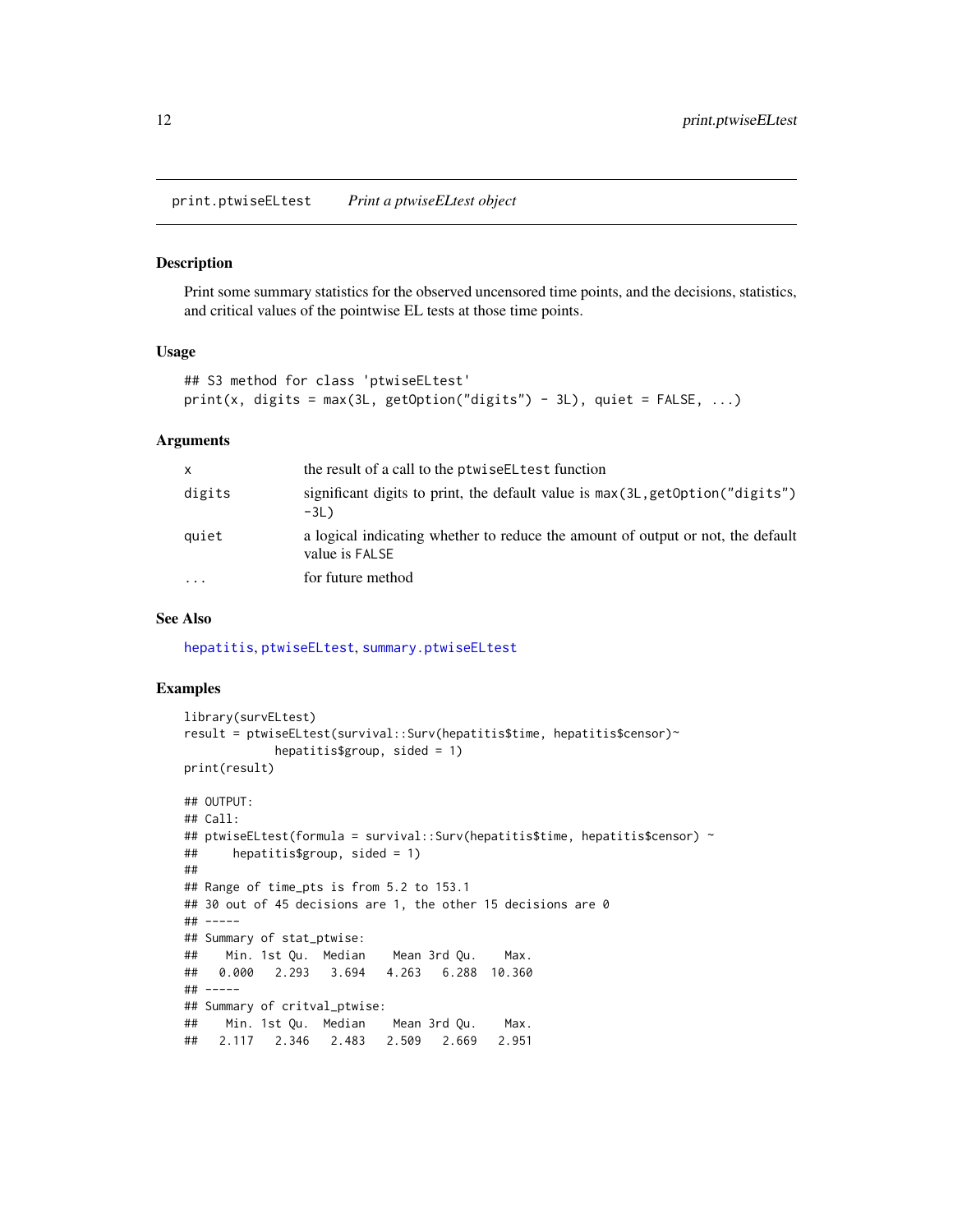<span id="page-11-1"></span><span id="page-11-0"></span>print.ptwiseELtest *Print a ptwiseELtest object*

#### Description

Print some summary statistics for the observed uncensored time points, and the decisions, statistics, and critical values of the pointwise EL tests at those time points.

#### Usage

```
## S3 method for class 'ptwiseELtest'
print(x, \text{ digits} = max(3L, \text{getOption("digits") - 3L), \text{ quiet} = FALSE, ...)
```
#### Arguments

| X         | the result of a call to the ptwise EL test function                                               |
|-----------|---------------------------------------------------------------------------------------------------|
| digits    | significant digits to print, the default value is $max(3L, getOption("digits")$<br>$-3L$ )        |
| quiet     | a logical indicating whether to reduce the amount of output or not, the default<br>value is FALSE |
| $\ddotsc$ | for future method                                                                                 |

#### See Also

[hepatitis](#page-2-1), [ptwiseELtest](#page-13-1), [summary.ptwiseELtest](#page-17-1)

```
library(survELtest)
result = ptwiseELtest(survival::Surv(hepatitis$time, hepatitis$censor)~
            hepatitis$group, sided = 1)
print(result)
## OUTPUT:
## Call:
## ptwiseELtest(formula = survival::Surv(hepatitis$time, hepatitis$censor) ~
## hepatitis$group, sided = 1)
##
## Range of time_pts is from 5.2 to 153.1
## 30 out of 45 decisions are 1, the other 15 decisions are 0
## -----
## Summary of stat_ptwise:
## Min. 1st Qu. Median Mean 3rd Qu. Max.
## 0.000 2.293 3.694 4.263 6.288 10.360
## -----
## Summary of critval_ptwise:
## Min. 1st Qu. Median Mean 3rd Qu. Max.
## 2.117 2.346 2.483 2.509 2.669 2.951
```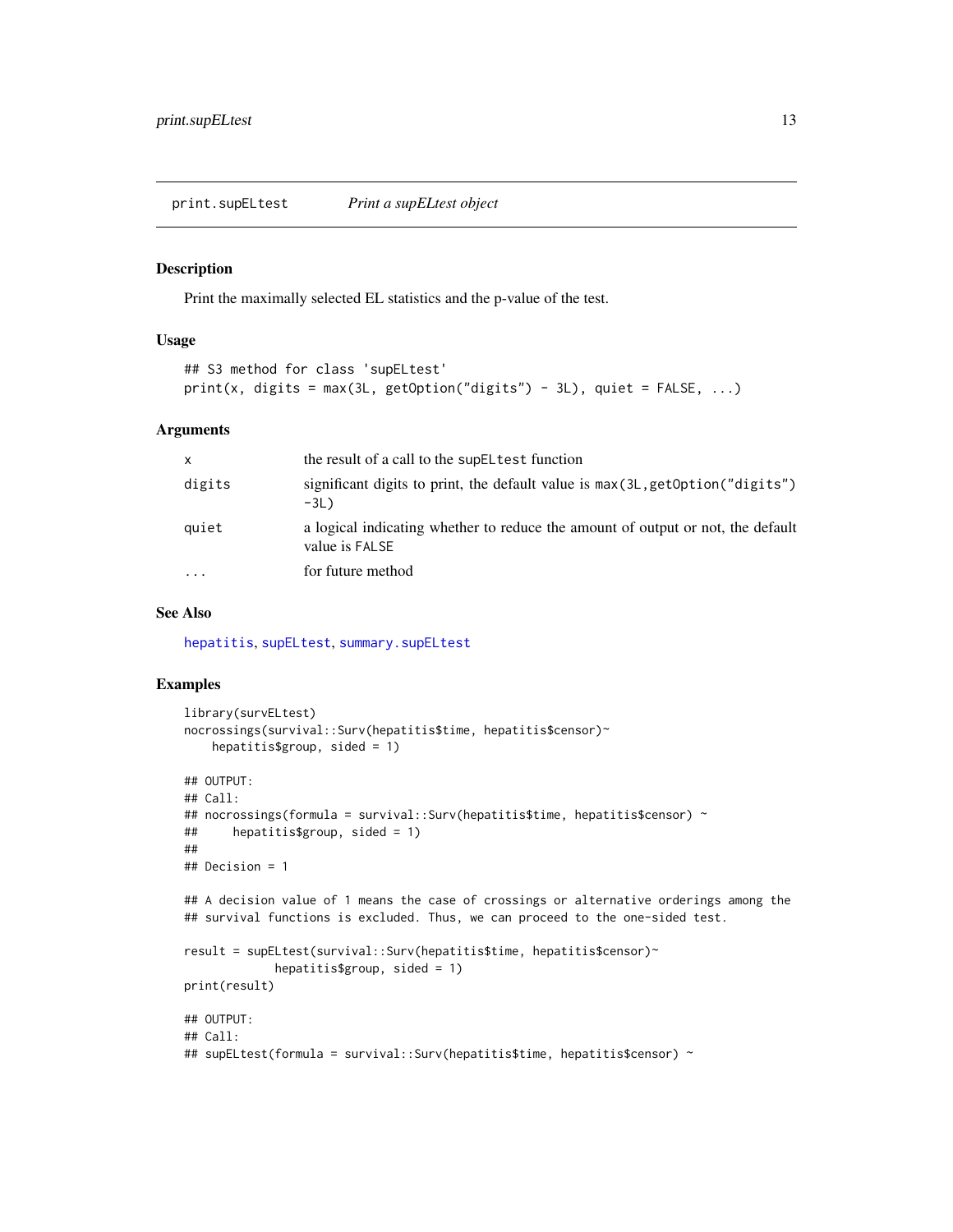#### <span id="page-12-1"></span><span id="page-12-0"></span>Description

Print the maximally selected EL statistics and the p-value of the test.

#### Usage

```
## S3 method for class 'supELtest'
print(x, digits = max(3L, getOption("digits") - 3L), quiet = FALSE, ...)
```
#### Arguments

| X         | the result of a call to the supEL test function                                                   |
|-----------|---------------------------------------------------------------------------------------------------|
| digits    | significant digits to print, the default value is $max(3L, getOption("digits")$<br>$-3L$ )        |
| quiet     | a logical indicating whether to reduce the amount of output or not, the default<br>value is FALSE |
| $\ddotsc$ | for future method                                                                                 |

### See Also

[hepatitis](#page-2-1), [supELtest](#page-20-1), [summary.supELtest](#page-19-1)

```
library(survELtest)
nocrossings(survival::Surv(hepatitis$time, hepatitis$censor)~
   hepatitis$group, sided = 1)
## OUTPUT:
## Call:
## nocrossings(formula = survival::Surv(hepatitis$time, hepatitis$censor) ~
## hepatitis$group, sided = 1)
##
## Decision = 1
## A decision value of 1 means the case of crossings or alternative orderings among the
## survival functions is excluded. Thus, we can proceed to the one-sided test.
result = supELtest(survival::Surv(hepatitis$time, hepatitis$censor)~
            hepatitis$group, sided = 1)
print(result)
## OUTPUT:
## Call:
## supELtest(formula = survival::Surv(hepatitis$time, hepatitis$censor) ~
```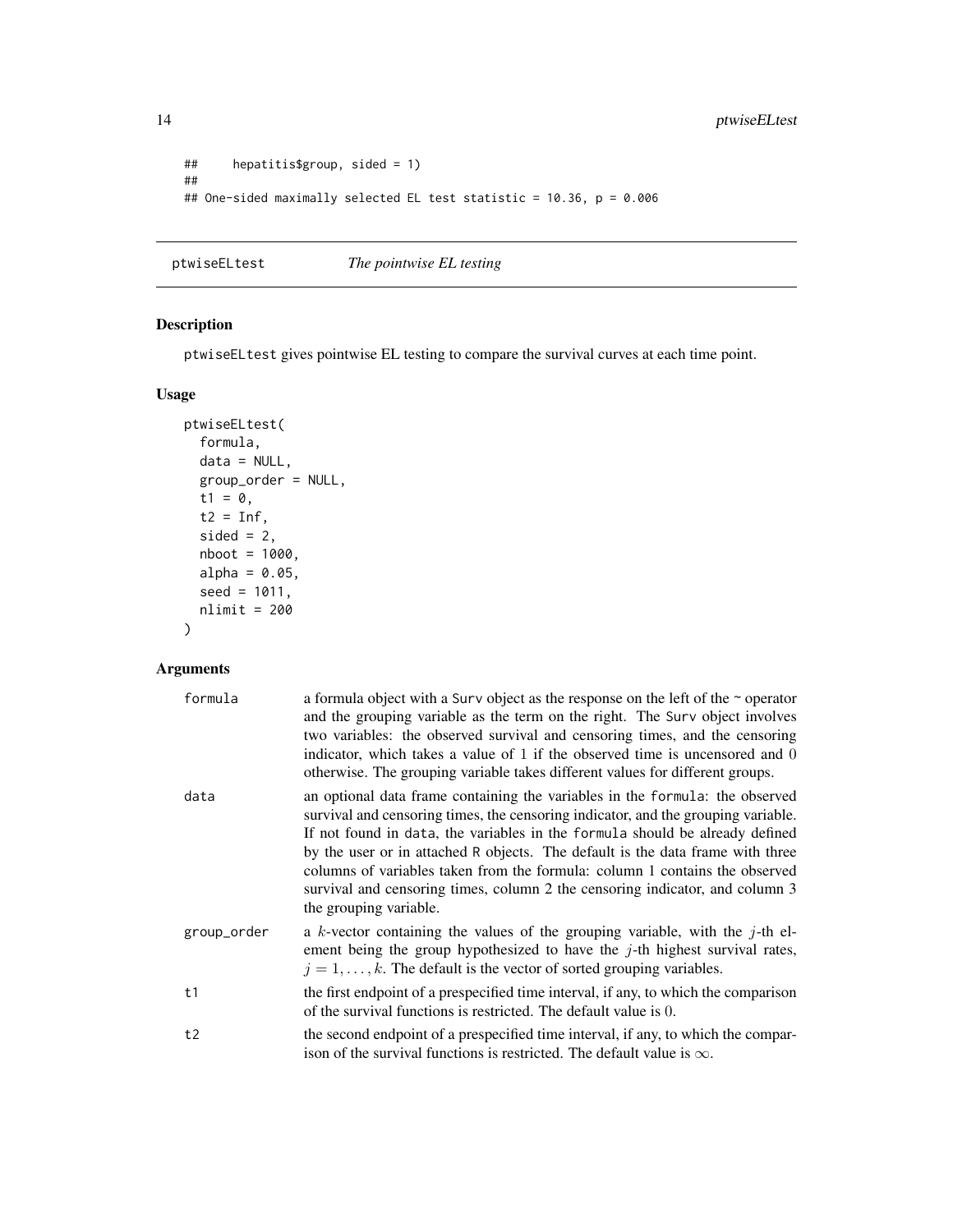```
## hepatitis$group, sided = 1)
##
## One-sided maximally selected EL test statistic = 10.36, p = 0.006
```
<span id="page-13-1"></span>ptwiseELtest *The pointwise EL testing*

# Description

ptwiseELtest gives pointwise EL testing to compare the survival curves at each time point.

# Usage

```
ptwiseELtest(
  formula,
  data = NULL,
  group_order = NULL,
  t1 = 0,
  t2 = Inf,sided = 2,
  nboot = 1000,alpha = 0.05,
  seed = 1011,nlimit = 200
\mathcal{L}
```

| formula     | a formula object with a Surv object as the response on the left of the $\sim$ operator<br>and the grouping variable as the term on the right. The Surv object involves<br>two variables: the observed survival and censoring times, and the censoring<br>indicator, which takes a value of 1 if the observed time is uncensored and 0<br>otherwise. The grouping variable takes different values for different groups.                                                                                                       |
|-------------|------------------------------------------------------------------------------------------------------------------------------------------------------------------------------------------------------------------------------------------------------------------------------------------------------------------------------------------------------------------------------------------------------------------------------------------------------------------------------------------------------------------------------|
| data        | an optional data frame containing the variables in the formula: the observed<br>survival and censoring times, the censoring indicator, and the grouping variable.<br>If not found in data, the variables in the formula should be already defined<br>by the user or in attached R objects. The default is the data frame with three<br>columns of variables taken from the formula: column 1 contains the observed<br>survival and censoring times, column 2 the censoring indicator, and column 3<br>the grouping variable. |
| group_order | a k-vector containing the values of the grouping variable, with the $j$ -th el-<br>ement being the group hypothesized to have the $j$ -th highest survival rates,<br>$j = 1, \ldots, k$ . The default is the vector of sorted grouping variables.                                                                                                                                                                                                                                                                            |
| t1          | the first endpoint of a prespecified time interval, if any, to which the comparison<br>of the survival functions is restricted. The default value is 0.                                                                                                                                                                                                                                                                                                                                                                      |
| t2          | the second endpoint of a prespecified time interval, if any, to which the compar-<br>ison of the survival functions is restricted. The default value is $\infty$ .                                                                                                                                                                                                                                                                                                                                                           |

<span id="page-13-0"></span>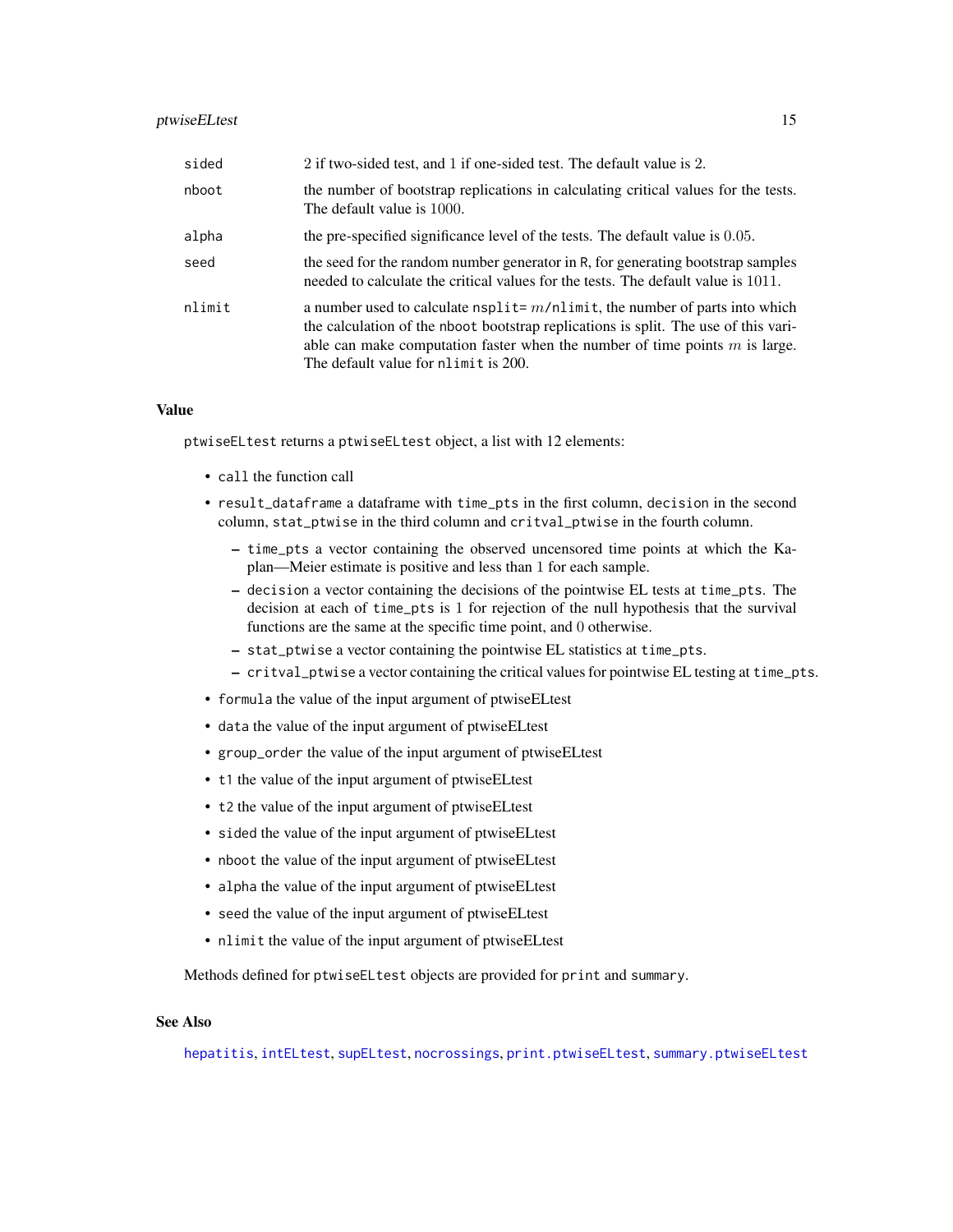# <span id="page-14-0"></span>ptwiseELtest 15

| sided  | 2 if two-sided test, and 1 if one-sided test. The default value is 2.                                                                                                                                                                                                                           |
|--------|-------------------------------------------------------------------------------------------------------------------------------------------------------------------------------------------------------------------------------------------------------------------------------------------------|
| nboot  | the number of bootstrap replications in calculating critical values for the tests.<br>The default value is 1000.                                                                                                                                                                                |
| alpha  | the pre-specified significance level of the tests. The default value is 0.05.                                                                                                                                                                                                                   |
| seed   | the seed for the random number generator in R, for generating bootstrap samples<br>needed to calculate the critical values for the tests. The default value is 1011.                                                                                                                            |
| nlimit | a number used to calculate $nsplit = m/nlimit$ , the number of parts into which<br>the calculation of the nboot bootstrap replications is split. The use of this vari-<br>able can make computation faster when the number of time points $m$ is large.<br>The default value for nlimit is 200. |

# Value

ptwiseELtest returns a ptwiseELtest object, a list with 12 elements:

- call the function call
- result\_dataframe a dataframe with time\_pts in the first column, decision in the second column, stat\_ptwise in the third column and critval\_ptwise in the fourth column.
	- time\_pts a vector containing the observed uncensored time points at which the Kaplan—Meier estimate is positive and less than 1 for each sample.
	- decision a vector containing the decisions of the pointwise EL tests at time\_pts. The decision at each of time\_pts is 1 for rejection of the null hypothesis that the survival functions are the same at the specific time point, and 0 otherwise.
	- stat\_ptwise a vector containing the pointwise EL statistics at time\_pts.
	- critval\_ptwise a vector containing the critical values for pointwise EL testing at time\_pts.
- formula the value of the input argument of ptwiseELtest
- data the value of the input argument of ptwiseELtest
- group\_order the value of the input argument of ptwiseELtest
- t1 the value of the input argument of ptwiseELtest
- t2 the value of the input argument of ptwiseELtest
- sided the value of the input argument of ptwiseELtest
- nboot the value of the input argument of ptwiseELtest
- alpha the value of the input argument of ptwiseELtest
- seed the value of the input argument of ptwiseELtest
- nlimit the value of the input argument of ptwiseELtest

Methods defined for ptwiseELtest objects are provided for print and summary.

#### See Also

[hepatitis](#page-2-1), [intELtest](#page-3-1), [supELtest](#page-20-1), [nocrossings](#page-6-1), [print.ptwiseELtest](#page-11-1), [summary.ptwiseELtest](#page-17-1)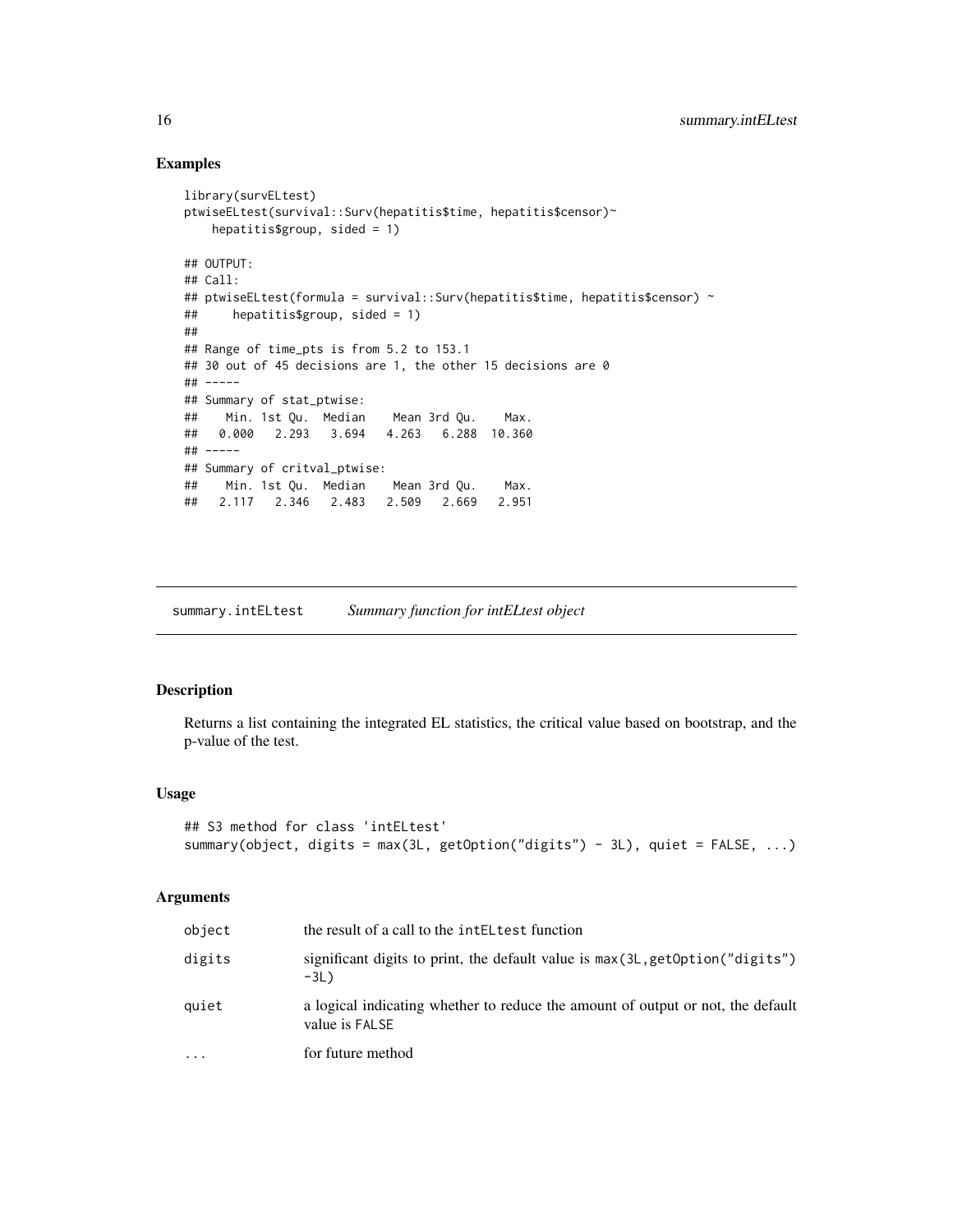#### Examples

```
library(survELtest)
ptwiseELtest(survival::Surv(hepatitis$time, hepatitis$censor)~
   hepatitis$group, sided = 1)
## OUTPUT:
## Call:
## ptwiseELtest(formula = survival::Surv(hepatitis$time, hepatitis$censor) ~
## hepatitis$group, sided = 1)
##
## Range of time_pts is from 5.2 to 153.1
## 30 out of 45 decisions are 1, the other 15 decisions are 0
## -----
## Summary of stat_ptwise:
## Min. 1st Qu. Median Mean 3rd Qu. Max.
## 0.000 2.293 3.694 4.263 6.288 10.360
## -----
## Summary of critval_ptwise:
## Min. 1st Qu. Median Mean 3rd Qu. Max.
## 2.117 2.346 2.483 2.509 2.669 2.951
```
<span id="page-15-1"></span>summary.intELtest *Summary function for intELtest object*

### Description

Returns a list containing the integrated EL statistics, the critical value based on bootstrap, and the p-value of the test.

#### Usage

```
## S3 method for class 'intELtest'
summary(object, digits = max(3L, getOption("digits") - 3L), quiet = FALSE, ...)
```

| object | the result of a call to the intelleright function                                                 |
|--------|---------------------------------------------------------------------------------------------------|
| digits | significant digits to print, the default value is $max(3L, getOption("digits")$<br>$-3L$ )        |
| quiet  | a logical indicating whether to reduce the amount of output or not, the default<br>value is FALSE |
| .      | for future method                                                                                 |

<span id="page-15-0"></span>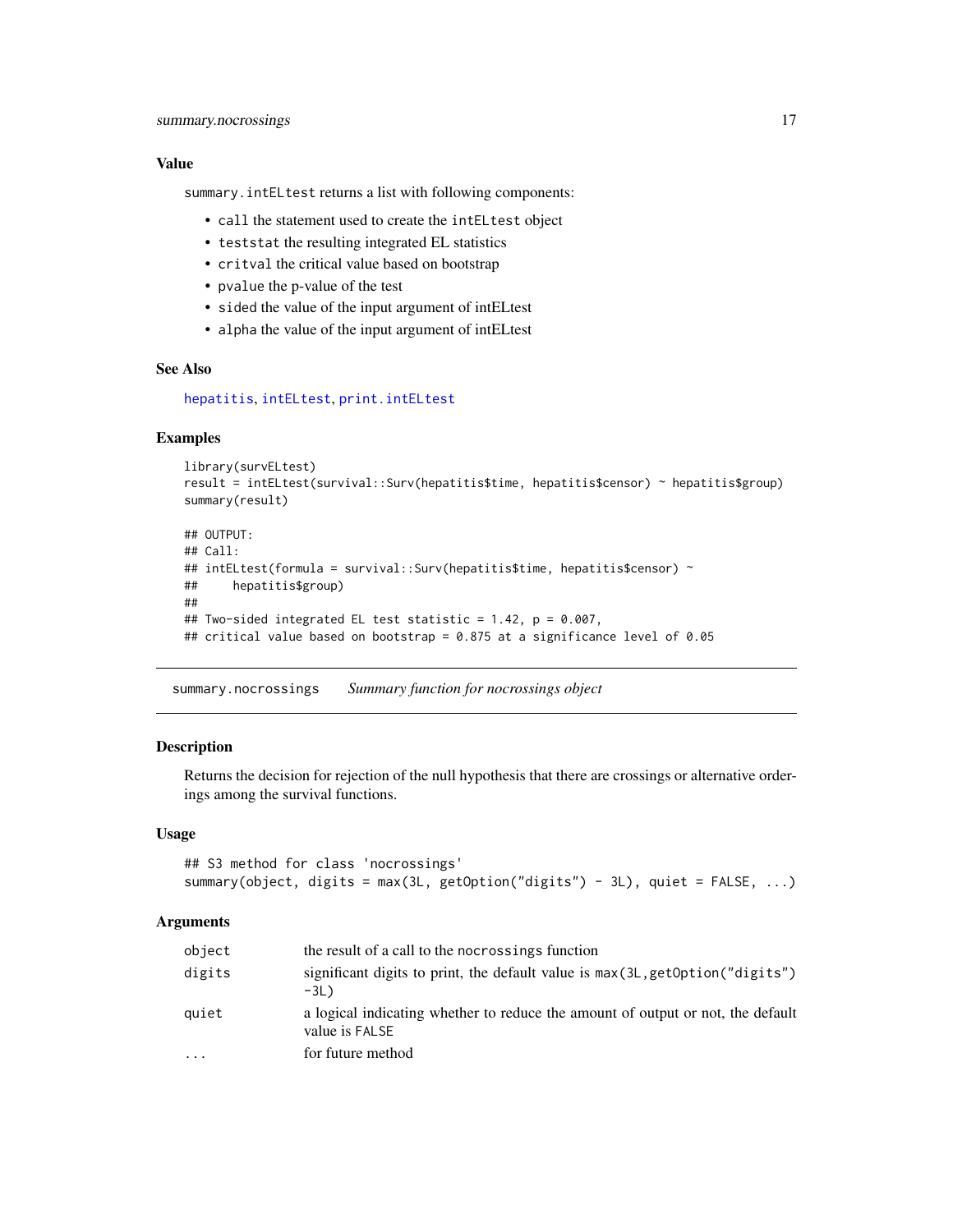### <span id="page-16-0"></span>Value

summary.intELtest returns a list with following components:

- call the statement used to create the intELtest object
- teststat the resulting integrated EL statistics
- critval the critical value based on bootstrap
- pvalue the p-value of the test
- sided the value of the input argument of intELtest
- alpha the value of the input argument of intELtest

#### See Also

[hepatitis](#page-2-1), [intELtest](#page-3-1), [print.intELtest](#page-9-1)

# **Examples**

```
library(survELtest)
result = intELtest(survival::Surv(hepatitis$time, hepatitis$censor) ~ hepatitis$group)
summary(result)
```

```
## OUTPUT:
## Call:
## intELtest(formula = survival::Surv(hepatitis$time, hepatitis$censor) ~
## hepatitis$group)
##
## Two-sided integrated EL test statistic = 1.42, p = 0.007,
## critical value based on bootstrap = 0.875 at a significance level of 0.05
```
<span id="page-16-1"></span>summary.nocrossings *Summary function for nocrossings object*

# **Description**

Returns the decision for rejection of the null hypothesis that there are crossings or alternative orderings among the survival functions.

#### Usage

```
## S3 method for class 'nocrossings'
summary(object, digits = max(3L, getOption("digits") - 3L), quiet = FALSE, ...)
```

| object | the result of a call to the nocrossings function                                                  |
|--------|---------------------------------------------------------------------------------------------------|
| digits | significant digits to print, the default value is $max(3L, getOption("digits")$<br>$-3L$          |
| quiet  | a logical indicating whether to reduce the amount of output or not, the default<br>value is FALSE |
| .      | for future method                                                                                 |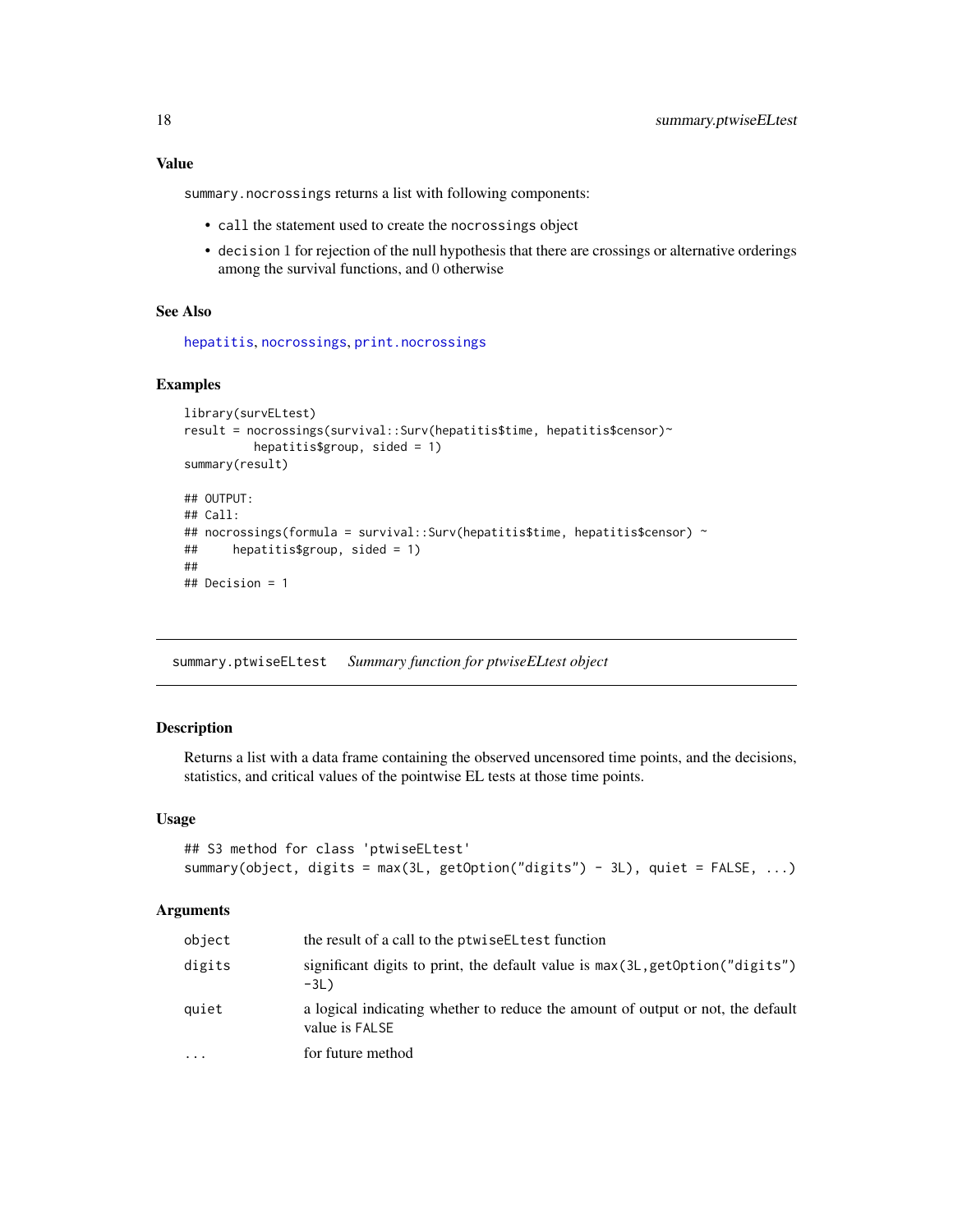# <span id="page-17-0"></span>Value

summary.nocrossings returns a list with following components:

- call the statement used to create the nocrossings object
- decision 1 for rejection of the null hypothesis that there are crossings or alternative orderings among the survival functions, and 0 otherwise

### See Also

[hepatitis](#page-2-1), [nocrossings](#page-6-1), [print.nocrossings](#page-10-1)

# Examples

```
library(survELtest)
result = nocrossings(survival::Surv(hepatitis$time, hepatitis$censor)~
         hepatitis$group, sided = 1)
summary(result)
## OUTPUT:
## Call:
## nocrossings(formula = survival::Surv(hepatitis$time, hepatitis$censor) ~
## hepatitis$group, sided = 1)
##
## Decision = 1
```
<span id="page-17-1"></span>summary.ptwiseELtest *Summary function for ptwiseELtest object*

# Description

Returns a list with a data frame containing the observed uncensored time points, and the decisions, statistics, and critical values of the pointwise EL tests at those time points.

#### Usage

```
## S3 method for class 'ptwiseELtest'
summary(object, digits = max(3L, getOption("digits") - 3L), quiet = FALSE, ...)
```

| object   | the result of a call to the ptwise EL test function                                               |
|----------|---------------------------------------------------------------------------------------------------|
| digits   | significant digits to print, the default value is $max(3L, getOption("digits")$<br>$-3L$ )        |
| quiet    | a logical indicating whether to reduce the amount of output or not, the default<br>value is FALSE |
| $\cdots$ | for future method                                                                                 |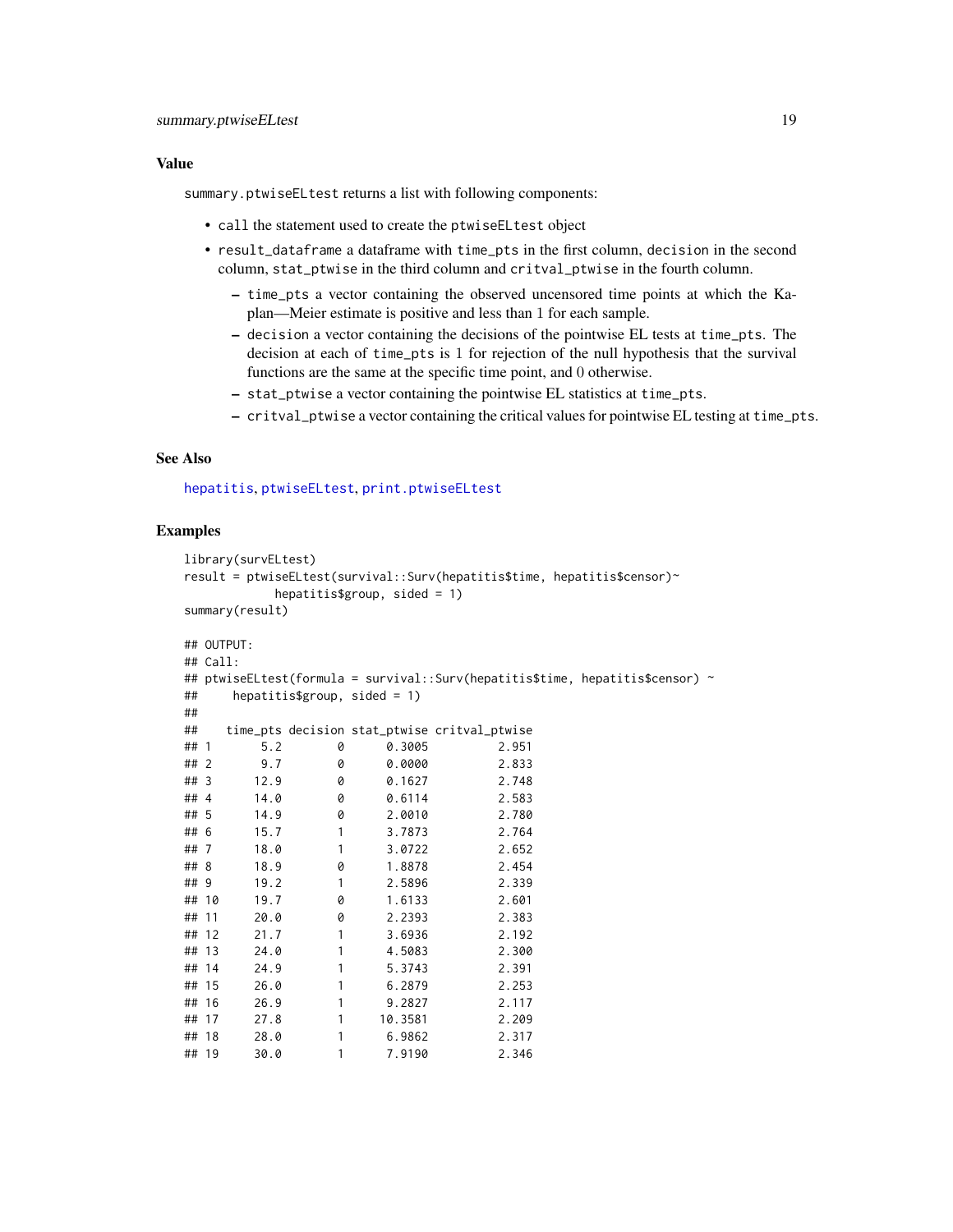#### <span id="page-18-0"></span>Value

summary.ptwiseELtest returns a list with following components:

- call the statement used to create the ptwiseELtest object
- result\_dataframe a dataframe with time\_pts in the first column, decision in the second column, stat\_ptwise in the third column and critval\_ptwise in the fourth column.
	- time\_pts a vector containing the observed uncensored time points at which the Kaplan—Meier estimate is positive and less than 1 for each sample.
	- decision a vector containing the decisions of the pointwise EL tests at time\_pts. The decision at each of time\_pts is 1 for rejection of the null hypothesis that the survival functions are the same at the specific time point, and 0 otherwise.
	- stat\_ptwise a vector containing the pointwise EL statistics at time\_pts.
	- critval\_ptwise a vector containing the critical values for pointwise EL testing at time\_pts.

# See Also

[hepatitis](#page-2-1), [ptwiseELtest](#page-13-1), [print.ptwiseELtest](#page-11-1)

```
library(survELtest)
result = ptwiseELtest(survival::Surv(hepatitis$time, hepatitis$censor)~
        hepatitis\frac{1}{2}group, sided = 1)
summary(result)
## OUTPUT:
## Call:
## ptwiseELtest(formula = survival::Surv(hepatitis$time, hepatitis$censor) ~
## hepatitis$group, sided = 1)
##
## time_pts decision stat_ptwise critval_ptwise
## 1 5.2 0 0.3005 2.951
## 2 9.7 0 0.0000 2.833
## 3 12.9 0 0.1627 2.748
## 4 14.0 0 0.6114 2.583
## 5 14.9 0 2.0010 2.780
## 6 15.7 1 3.7873 2.764
## 7 18.0 1 3.0722 2.652
## 8 18.9 0 1.8878 2.454
## 9 19.2 1 2.5896 2.339
## 10 19.7 0 1.6133 2.601
## 11 20.0 0 2.2393 2.383
## 12 21.7 1 3.6936 2.192
## 13 24.0 1 4.5083 2.300
## 14 24.9 1 5.3743 2.391
## 15 26.0 1 6.2879 2.253
      26.9 1 9.2827 2.117
## 17 27.8 1 10.3581 2.209
## 18 28.0 1 6.9862
## 19 30.0 1 7.9190 2.346
```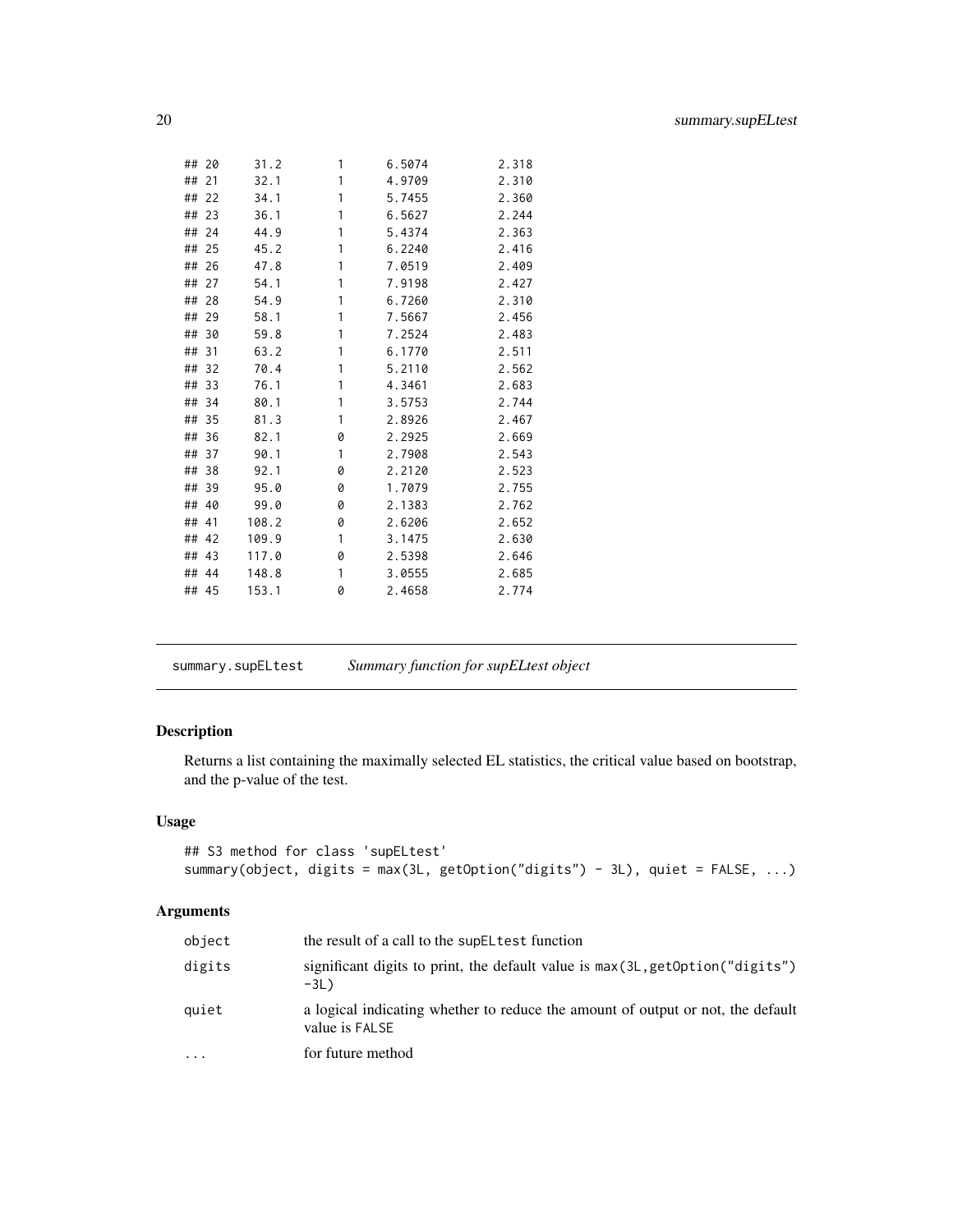<span id="page-19-0"></span>

| ## 20 |     | 31.2  | 1 | 6.5074 | 2.318 |
|-------|-----|-------|---|--------|-------|
| ##    | 21  | 32.1  | 1 | 4.9709 | 2.310 |
| ##    | 22  | 34.1  | 1 | 5.7455 | 2.360 |
| ##    | 23  | 36.1  | 1 | 6.5627 | 2.244 |
| ##    | 24  | 44.9  | 1 | 5.4374 | 2.363 |
| ##    | 25  | 45.2  | 1 | 6.2240 | 2.416 |
| ##    | 26  | 47.8  | 1 | 7.0519 | 2.409 |
| ##    | 27  | 54.1  | 1 | 7.9198 | 2.427 |
| ##    | 28  | 54.9  | 1 | 6.7260 | 2.310 |
| ##    | 29  | 58.1  | 1 | 7.5667 | 2.456 |
| ##    | 30  | 59.8  | 1 | 7.2524 | 2.483 |
| ##    | 31  | 63.2  | 1 | 6.1770 | 2.511 |
| ##    | 32  | 70.4  | 1 | 5.2110 | 2.562 |
| ##    | 33  | 76.1  | 1 | 4.3461 | 2.683 |
| ##    | 34  | 80.1  | 1 | 3.5753 | 2.744 |
| ##    | 35  | 81.3  | 1 | 2.8926 | 2.467 |
| ##    | 36  | 82.1  | 0 | 2.2925 | 2.669 |
| ##    | 37  | 90.1  | 1 | 2.7908 | 2.543 |
| ##    | 38  | 92.1  | 0 | 2.2120 | 2.523 |
| ##    | 39  | 95.0  | 0 | 1.7079 | 2.755 |
| ##    | 40  | 99.0  | 0 | 2.1383 | 2.762 |
| ##    | 41  | 108.2 | 0 | 2.6206 | 2.652 |
| ## 42 |     | 109.9 | 1 | 3.1475 | 2.630 |
| ## 43 |     | 117.0 | 0 | 2.5398 | 2.646 |
| ##    | -44 | 148.8 | 1 | 3.0555 | 2.685 |
| ## 45 |     | 153.1 | 0 | 2.4658 | 2.774 |
|       |     |       |   |        |       |

<span id="page-19-1"></span>summary.supELtest *Summary function for supELtest object*

# Description

Returns a list containing the maximally selected EL statistics, the critical value based on bootstrap, and the p-value of the test.

# Usage

```
## S3 method for class 'supELtest'
summary(object, digits = max(3L, getOption("digits") - 3L), quiet = FALSE, ...)
```

| object                  | the result of a call to the supEL test function                                                   |
|-------------------------|---------------------------------------------------------------------------------------------------|
| digits                  | significant digits to print, the default value is max(3L, getOption("digits")<br>$-3L$            |
| quiet                   | a logical indicating whether to reduce the amount of output or not, the default<br>value is FALSE |
| $\cdot$ $\cdot$ $\cdot$ | for future method                                                                                 |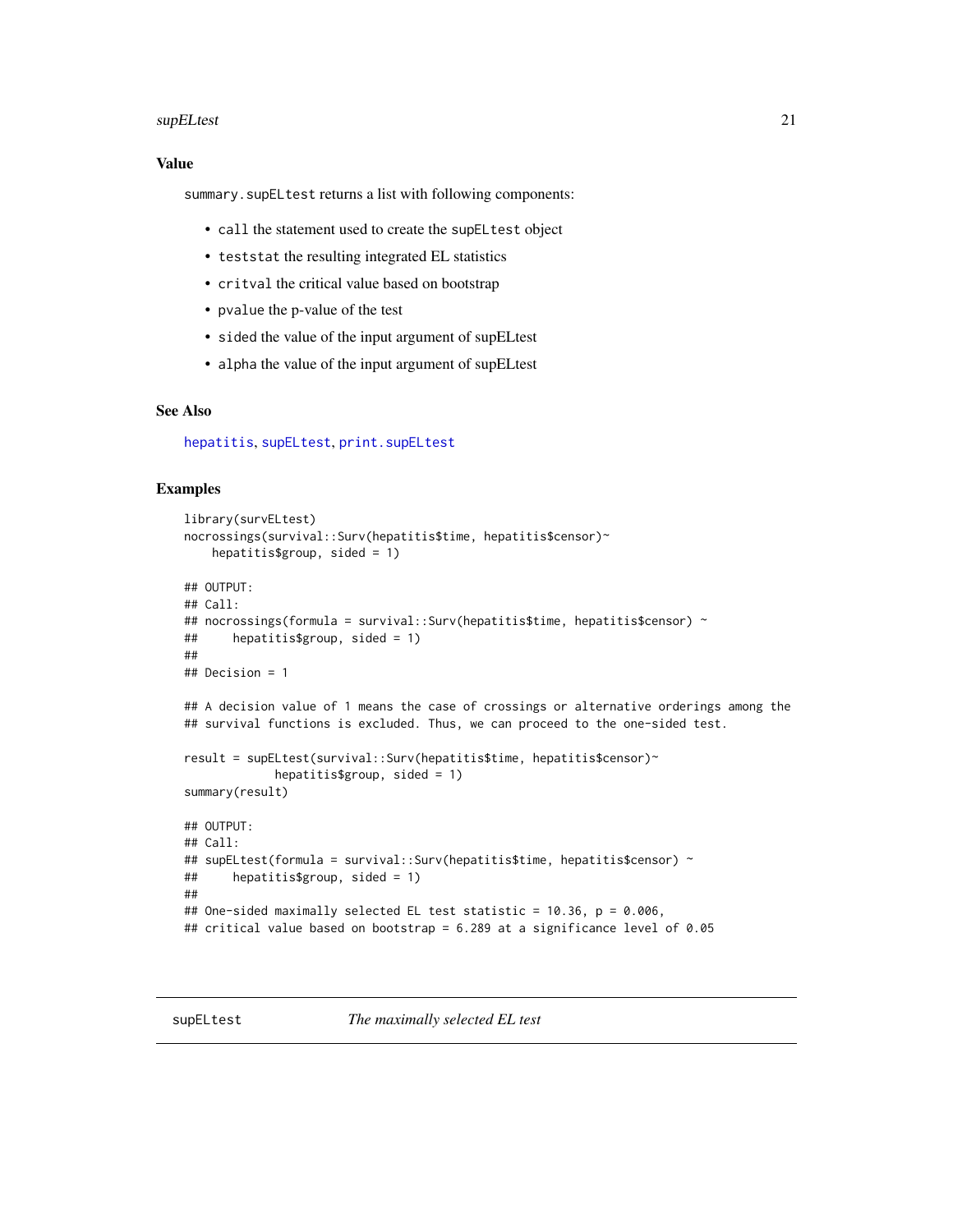#### <span id="page-20-0"></span>supELtest 21

### Value

summary.supELtest returns a list with following components:

- call the statement used to create the supELtest object
- teststat the resulting integrated EL statistics
- critval the critical value based on bootstrap
- pvalue the p-value of the test
- sided the value of the input argument of supELtest
- alpha the value of the input argument of supELtest

# See Also

[hepatitis](#page-2-1), [supELtest](#page-20-1), [print.supELtest](#page-12-1)

#### Examples

```
library(survELtest)
nocrossings(survival::Surv(hepatitis$time, hepatitis$censor)~
   hepatitis$group, sided = 1)
## OUTPUT:
## Call:
## nocrossings(formula = survival::Surv(hepatitis$time, hepatitis$censor) ~
## hepatitis$group, sided = 1)
##
## Decision = 1
## A decision value of 1 means the case of crossings or alternative orderings among the
## survival functions is excluded. Thus, we can proceed to the one-sided test.
result = supELtest(survival::Surv(hepatitis$time, hepatitis$censor)~
            hepatitis$group, sided = 1)
summary(result)
## OUTPUT:
## Call:
## supELtest(formula = survival::Surv(hepatitis$time, hepatitis$censor) ~
## hepatitis$group, sided = 1)
##
## One-sided maximally selected EL test statistic = 10.36, p = 0.006,
## critical value based on bootstrap = 6.289 at a significance level of 0.05
```
<span id="page-20-1"></span>supELtest *The maximally selected EL test*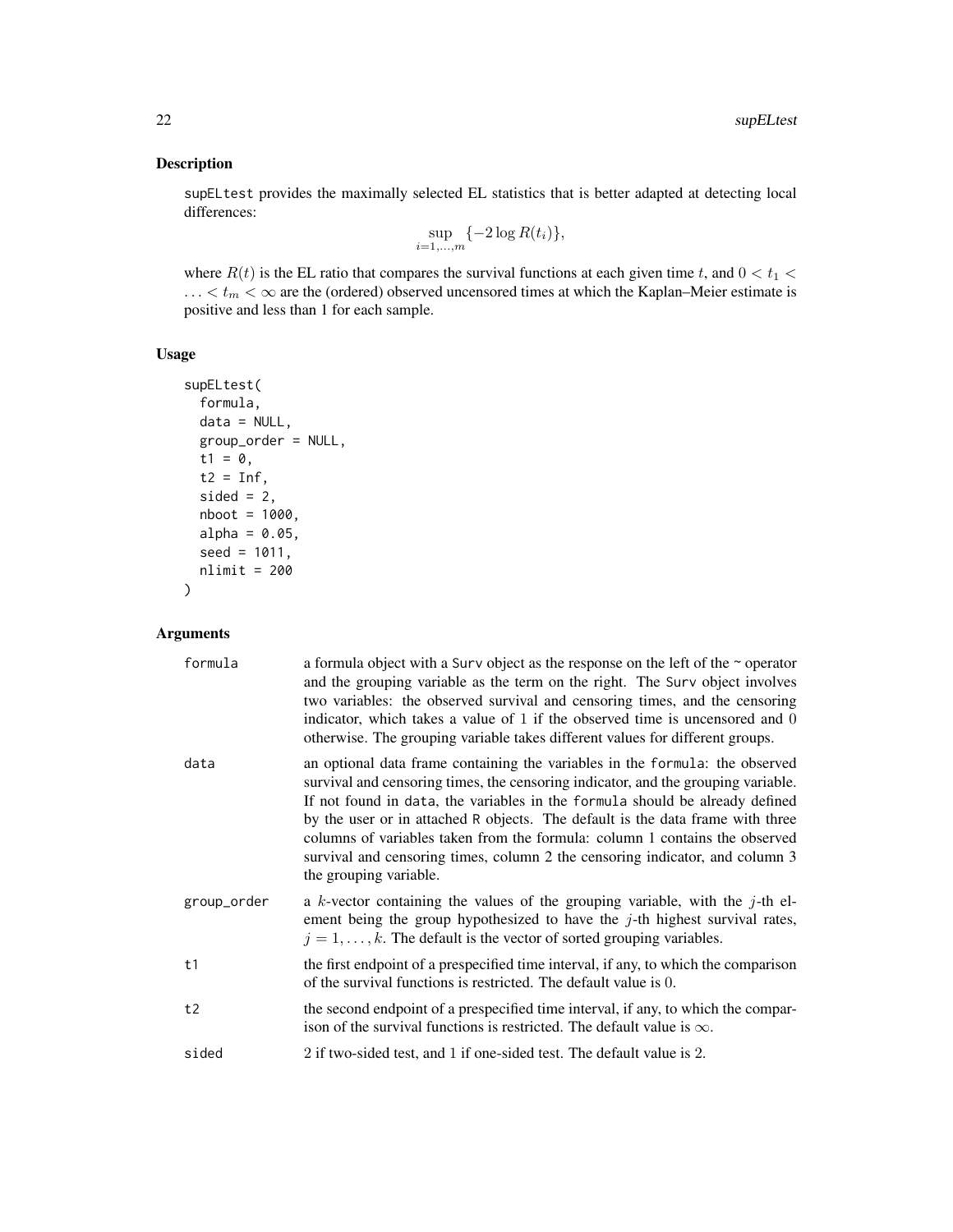# Description

supELtest provides the maximally selected EL statistics that is better adapted at detecting local differences:

$$
\sup_{i=1,\ldots,m} \{-2\log R(t_i)\},\
$$

where  $R(t)$  is the EL ratio that compares the survival functions at each given time t, and  $0 < t_1 <$ ...  $lt t_m < \infty$  are the (ordered) observed uncensored times at which the Kaplan–Meier estimate is positive and less than 1 for each sample.

Usage

```
supELtest(
  formula,
  data = NULL,group_order = NULL,
  t1 = 0,
 t2 = Inf,sided = 2,
  nboot = 1000,
 alpha = 0.05,
  seed = 1011,
 nlimit = 200
)
```

| formula     | a formula object with a Surv object as the response on the left of the $\sim$ operator<br>and the grouping variable as the term on the right. The Surv object involves<br>two variables: the observed survival and censoring times, and the censoring<br>indicator, which takes a value of $1$ if the observed time is uncensored and $0$<br>otherwise. The grouping variable takes different values for different groups.                                                                                                   |
|-------------|------------------------------------------------------------------------------------------------------------------------------------------------------------------------------------------------------------------------------------------------------------------------------------------------------------------------------------------------------------------------------------------------------------------------------------------------------------------------------------------------------------------------------|
| data        | an optional data frame containing the variables in the formula: the observed<br>survival and censoring times, the censoring indicator, and the grouping variable.<br>If not found in data, the variables in the formula should be already defined<br>by the user or in attached R objects. The default is the data frame with three<br>columns of variables taken from the formula: column 1 contains the observed<br>survival and censoring times, column 2 the censoring indicator, and column 3<br>the grouping variable. |
| group_order | a k-vector containing the values of the grouping variable, with the $j$ -th el-<br>ement being the group hypothesized to have the $j$ -th highest survival rates,<br>$j = 1, \ldots, k$ . The default is the vector of sorted grouping variables.                                                                                                                                                                                                                                                                            |
| t1          | the first endpoint of a prespecified time interval, if any, to which the comparison<br>of the survival functions is restricted. The default value is 0.                                                                                                                                                                                                                                                                                                                                                                      |
| t2          | the second endpoint of a prespecified time interval, if any, to which the compar-<br>ison of the survival functions is restricted. The default value is $\infty$ .                                                                                                                                                                                                                                                                                                                                                           |
| sided       | 2 if two-sided test, and 1 if one-sided test. The default value is 2.                                                                                                                                                                                                                                                                                                                                                                                                                                                        |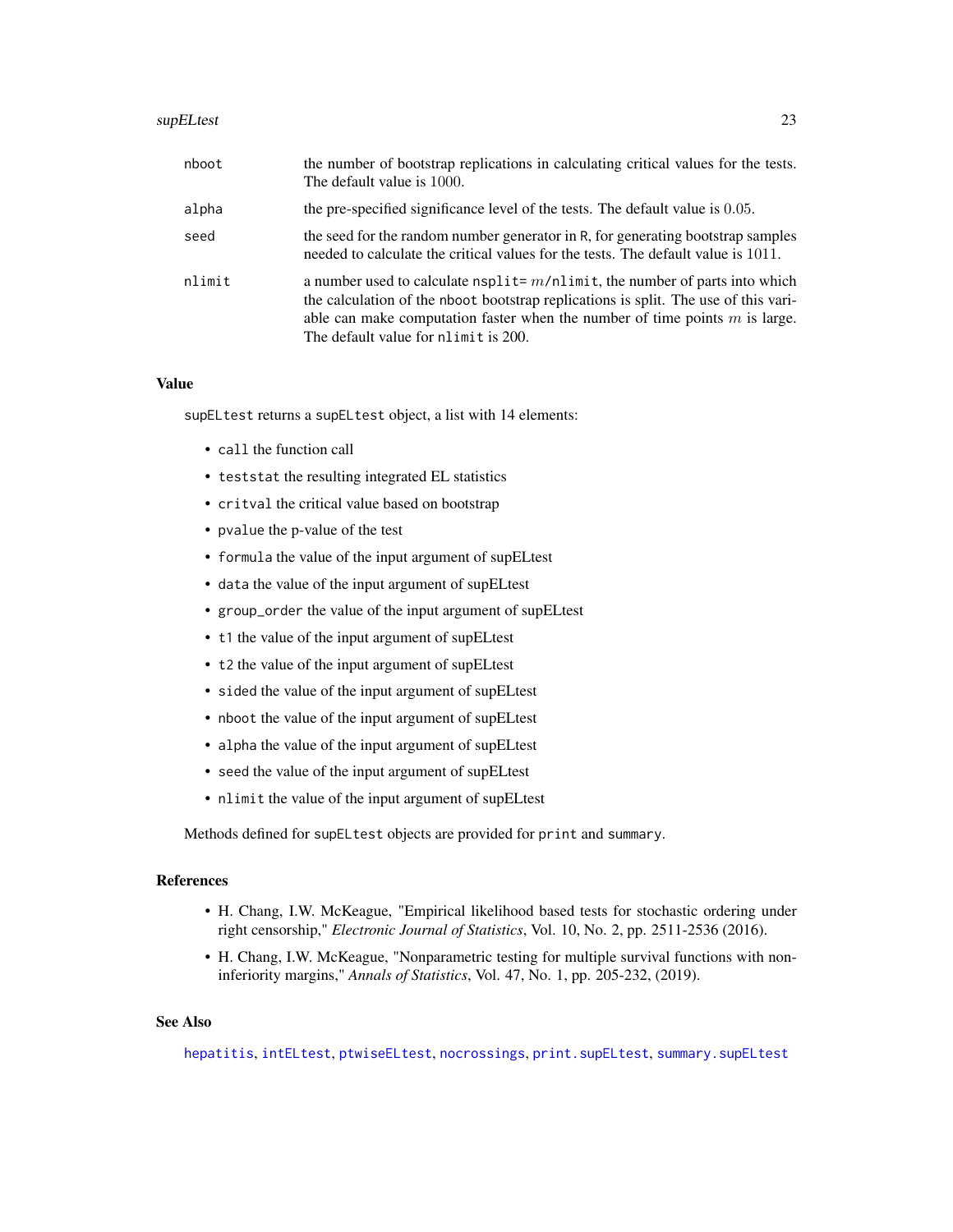#### <span id="page-22-0"></span>supELtest 23

| nboot  | the number of bootstrap replications in calculating critical values for the tests.<br>The default value is 1000.                                                                                                                                                                                  |
|--------|---------------------------------------------------------------------------------------------------------------------------------------------------------------------------------------------------------------------------------------------------------------------------------------------------|
| alpha  | the pre-specified significance level of the tests. The default value is 0.05.                                                                                                                                                                                                                     |
| seed   | the seed for the random number generator in R, for generating bootstrap samples<br>needed to calculate the critical values for the tests. The default value is 1011.                                                                                                                              |
| nlimit | a number used to calculate $n$ split= $m/n$ limit, the number of parts into which<br>the calculation of the nboot bootstrap replications is split. The use of this vari-<br>able can make computation faster when the number of time points $m$ is large.<br>The default value for nlimit is 200. |

# Value

supELtest returns a supELtest object, a list with 14 elements:

- call the function call
- teststat the resulting integrated EL statistics
- critval the critical value based on bootstrap
- pvalue the p-value of the test
- formula the value of the input argument of supELtest
- data the value of the input argument of supELtest
- group\_order the value of the input argument of supELtest
- t1 the value of the input argument of supELtest
- t2 the value of the input argument of supELtest
- sided the value of the input argument of supELtest
- nboot the value of the input argument of supELtest
- alpha the value of the input argument of supELtest
- seed the value of the input argument of supELtest
- nlimit the value of the input argument of supELtest

Methods defined for supELtest objects are provided for print and summary.

# References

- H. Chang, I.W. McKeague, "Empirical likelihood based tests for stochastic ordering under right censorship," *Electronic Journal of Statistics*, Vol. 10, No. 2, pp. 2511-2536 (2016).
- H. Chang, I.W. McKeague, "Nonparametric testing for multiple survival functions with noninferiority margins," *Annals of Statistics*, Vol. 47, No. 1, pp. 205-232, (2019).

#### See Also

[hepatitis](#page-2-1), [intELtest](#page-3-1), [ptwiseELtest](#page-13-1), [nocrossings](#page-6-1), [print.supELtest](#page-12-1), [summary.supELtest](#page-19-1)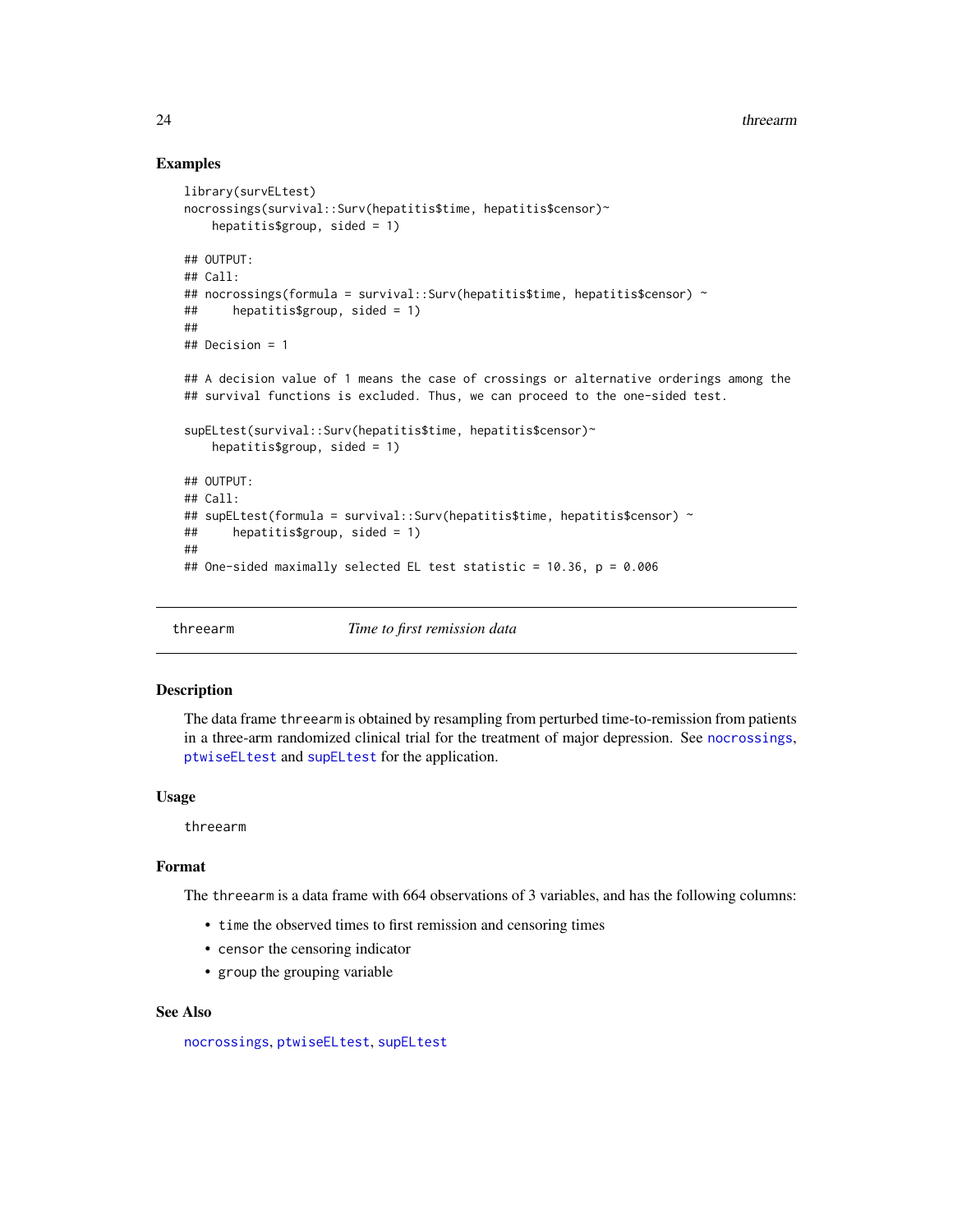### Examples

```
library(survELtest)
nocrossings(survival::Surv(hepatitis$time, hepatitis$censor)~
   hepatitis$group, sided = 1)
## OUTPUT:
## Call:
## nocrossings(formula = survival::Surv(hepatitis$time, hepatitis$censor) ~
## hepatitis$group, sided = 1)
##
## Decision = 1
## A decision value of 1 means the case of crossings or alternative orderings among the
## survival functions is excluded. Thus, we can proceed to the one-sided test.
supELtest(survival::Surv(hepatitis$time, hepatitis$censor)~
   hepatitis$group, sided = 1)
## OUTPUT:
## Call:
## supELtest(formula = survival::Surv(hepatitis$time, hepatitis$censor) ~
## hepatitis$group, sided = 1)
##
## One-sided maximally selected EL test statistic = 10.36, p = 0.006
```
threearm *Time to first remission data*

#### Description

The data frame threearm is obtained by resampling from perturbed time-to-remission from patients in a three-arm randomized clinical trial for the treatment of major depression. See [nocrossings](#page-6-1), [ptwiseELtest](#page-13-1) and [supELtest](#page-20-1) for the application.

#### Usage

threearm

#### Format

The threearm is a data frame with 664 observations of 3 variables, and has the following columns:

- time the observed times to first remission and censoring times
- censor the censoring indicator
- group the grouping variable

#### See Also

[nocrossings](#page-6-1), [ptwiseELtest](#page-13-1), [supELtest](#page-20-1)

<span id="page-23-0"></span>